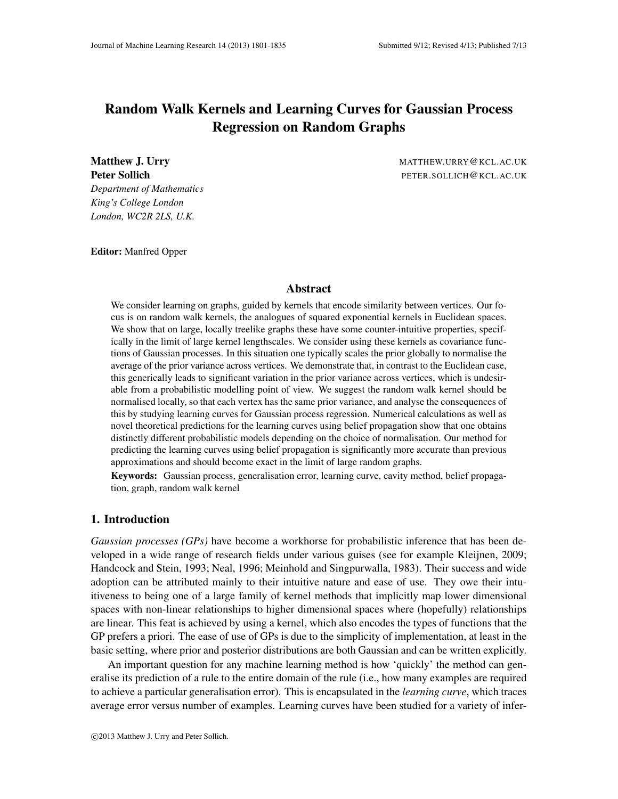# Random Walk Kernels and Learning Curves for Gaussian Process Regression on Random Graphs

*Department of Mathematics King's College London London, WC2R 2LS, U.K.*

Matthew J. Urry **MATTHEW.URRY** @KCL.AC.UK Peter Sollich **Peter Sollich PETER.SOLLICH@KCL.AC.UK** 

Editor: Manfred Opper

# Abstract

We consider learning on graphs, guided by kernels that encode similarity between vertices. Our focus is on random walk kernels, the analogues of squared exponential kernels in Euclidean spaces. We show that on large, locally treelike graphs these have some counter-intuitive properties, specifically in the limit of large kernel lengthscales. We consider using these kernels as covariance functions of Gaussian processes. In this situation one typically scales the prior globally to normalise the average of the prior variance across vertices. We demonstrate that, in contrast to the Euclidean case, this generically leads to significant variation in the prior variance across vertices, which is undesirable from a probabilistic modelling point of view. We suggest the random walk kernel should be normalised locally, so that each vertex has the same prior variance, and analyse the consequences of this by studying learning curves for Gaussian process regression. Numerical calculations as well as novel theoretical predictions for the learning curves using belief propagation show that one obtains distinctly different probabilistic models depending on the choice of normalisation. Our method for predicting the learning curves using belief propagation is significantly more accurate than previous approximations and should become exact in the limit of large random graphs.

Keywords: Gaussian process, generalisation error, learning curve, cavity method, belief propagation, graph, random walk kernel

# 1. Introduction

*Gaussian processes (GPs)* have become a workhorse for probabilistic inference that has been developed in a wide range of research fields under various guises (see for example Kleijnen, 2009; Handcock and Stein, 1993; Neal, 1996; Meinhold and Singpurwalla, 1983). Their success and wide adoption can be attributed mainly to their intuitive nature and ease of use. They owe their intuitiveness to being one of a large family of kernel methods that implicitly map lower dimensional spaces with non-linear relationships to higher dimensional spaces where (hopefully) relationships are linear. This feat is achieved by using a kernel, which also encodes the types of functions that the GP prefers a priori. The ease of use of GPs is due to the simplicity of implementation, at least in the basic setting, where prior and posterior distributions are both Gaussian and can be written explicitly.

An important question for any machine learning method is how 'quickly' the method can generalise its prediction of a rule to the entire domain of the rule (i.e., how many examples are required to achieve a particular generalisation error). This is encapsulated in the *learning curve*, which traces average error versus number of examples. Learning curves have been studied for a variety of infer-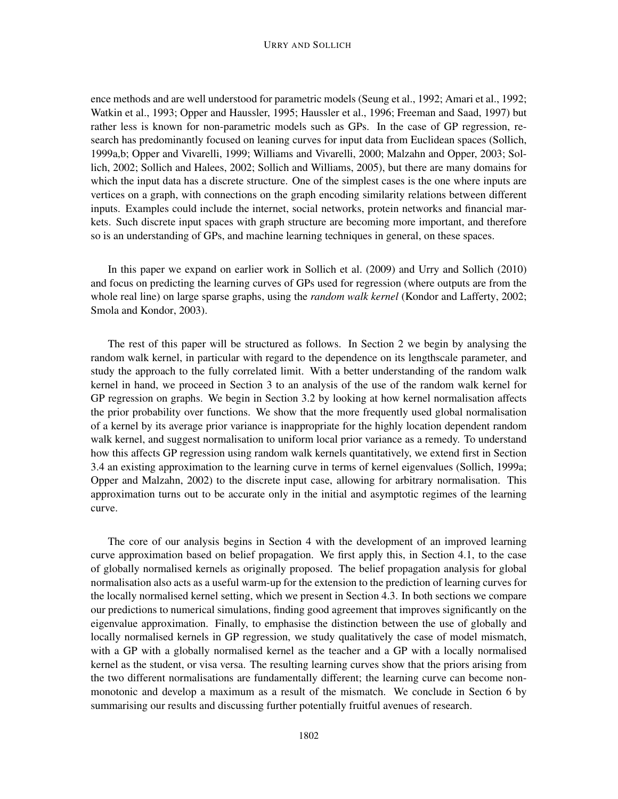#### URRY AND SOLLICH

ence methods and are well understood for parametric models (Seung et al., 1992; Amari et al., 1992; Watkin et al., 1993; Opper and Haussler, 1995; Haussler et al., 1996; Freeman and Saad, 1997) but rather less is known for non-parametric models such as GPs. In the case of GP regression, research has predominantly focused on leaning curves for input data from Euclidean spaces (Sollich, 1999a,b; Opper and Vivarelli, 1999; Williams and Vivarelli, 2000; Malzahn and Opper, 2003; Sollich, 2002; Sollich and Halees, 2002; Sollich and Williams, 2005), but there are many domains for which the input data has a discrete structure. One of the simplest cases is the one where inputs are vertices on a graph, with connections on the graph encoding similarity relations between different inputs. Examples could include the internet, social networks, protein networks and financial markets. Such discrete input spaces with graph structure are becoming more important, and therefore so is an understanding of GPs, and machine learning techniques in general, on these spaces.

In this paper we expand on earlier work in Sollich et al. (2009) and Urry and Sollich (2010) and focus on predicting the learning curves of GPs used for regression (where outputs are from the whole real line) on large sparse graphs, using the *random walk kernel* (Kondor and Lafferty, 2002; Smola and Kondor, 2003).

The rest of this paper will be structured as follows. In Section 2 we begin by analysing the random walk kernel, in particular with regard to the dependence on its lengthscale parameter, and study the approach to the fully correlated limit. With a better understanding of the random walk kernel in hand, we proceed in Section 3 to an analysis of the use of the random walk kernel for GP regression on graphs. We begin in Section 3.2 by looking at how kernel normalisation affects the prior probability over functions. We show that the more frequently used global normalisation of a kernel by its average prior variance is inappropriate for the highly location dependent random walk kernel, and suggest normalisation to uniform local prior variance as a remedy. To understand how this affects GP regression using random walk kernels quantitatively, we extend first in Section 3.4 an existing approximation to the learning curve in terms of kernel eigenvalues (Sollich, 1999a; Opper and Malzahn, 2002) to the discrete input case, allowing for arbitrary normalisation. This approximation turns out to be accurate only in the initial and asymptotic regimes of the learning curve.

The core of our analysis begins in Section 4 with the development of an improved learning curve approximation based on belief propagation. We first apply this, in Section 4.1, to the case of globally normalised kernels as originally proposed. The belief propagation analysis for global normalisation also acts as a useful warm-up for the extension to the prediction of learning curves for the locally normalised kernel setting, which we present in Section 4.3. In both sections we compare our predictions to numerical simulations, finding good agreement that improves significantly on the eigenvalue approximation. Finally, to emphasise the distinction between the use of globally and locally normalised kernels in GP regression, we study qualitatively the case of model mismatch, with a GP with a globally normalised kernel as the teacher and a GP with a locally normalised kernel as the student, or visa versa. The resulting learning curves show that the priors arising from the two different normalisations are fundamentally different; the learning curve can become nonmonotonic and develop a maximum as a result of the mismatch. We conclude in Section 6 by summarising our results and discussing further potentially fruitful avenues of research.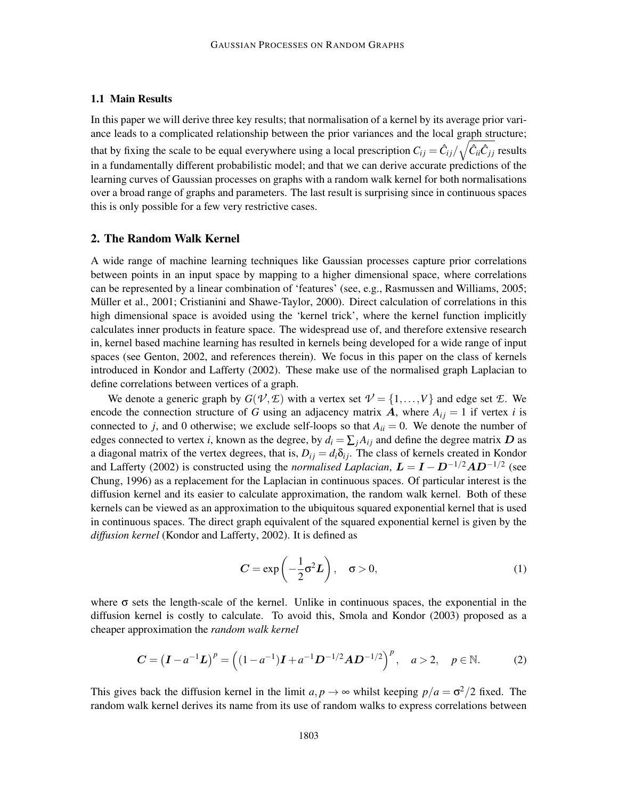# 1.1 Main Results

In this paper we will derive three key results; that normalisation of a kernel by its average prior variance leads to a complicated relationship between the prior variances and the local graph structure; that by fixing the scale to be equal everywhere using a local prescription  $C_{ij} = \hat{C}_{ij}/\sqrt{\hat{C}_{ii}\hat{C}_{jj}}$  results in a fundamentally different probabilistic model; and that we can derive accurate predictions of the learning curves of Gaussian processes on graphs with a random walk kernel for both normalisations over a broad range of graphs and parameters. The last result is surprising since in continuous spaces this is only possible for a few very restrictive cases.

# 2. The Random Walk Kernel

A wide range of machine learning techniques like Gaussian processes capture prior correlations between points in an input space by mapping to a higher dimensional space, where correlations can be represented by a linear combination of 'features' (see, e.g., Rasmussen and Williams, 2005; Müller et al., 2001; Cristianini and Shawe-Taylor, 2000). Direct calculation of correlations in this high dimensional space is avoided using the 'kernel trick', where the kernel function implicitly calculates inner products in feature space. The widespread use of, and therefore extensive research in, kernel based machine learning has resulted in kernels being developed for a wide range of input spaces (see Genton, 2002, and references therein). We focus in this paper on the class of kernels introduced in Kondor and Lafferty (2002). These make use of the normalised graph Laplacian to define correlations between vertices of a graph.

We denote a generic graph by  $G(V, \mathcal{L})$  with a vertex set  $V = \{1, ..., V\}$  and edge set  $\mathcal{L}$ . We encode the connection structure of *G* using an adjacency matrix A, where  $A_{ij} = 1$  if vertex *i* is connected to *j*, and 0 otherwise; we exclude self-loops so that  $A_{ii} = 0$ . We denote the number of edges connected to vertex *i*, known as the degree, by  $d_i = \sum_j A_{ij}$  and define the degree matrix D as a diagonal matrix of the vertex degrees, that is,  $D_{ij} = d_i \delta_{ij}$ . The class of kernels created in Kondor and Lafferty (2002) is constructed using the *normalised Laplacian*,  $\mathbf{L} = \mathbf{I} - \mathbf{D}^{-1/2} \mathbf{A} \mathbf{D}^{-1/2}$  (see Chung, 1996) as a replacement for the Laplacian in continuous spaces. Of particular interest is the diffusion kernel and its easier to calculate approximation, the random walk kernel. Both of these kernels can be viewed as an approximation to the ubiquitous squared exponential kernel that is used in continuous spaces. The direct graph equivalent of the squared exponential kernel is given by the *diffusion kernel* (Kondor and Lafferty, 2002). It is defined as

$$
C = \exp\left(-\frac{1}{2}\sigma^2 L\right), \quad \sigma > 0,
$$
\n(1)

where  $\sigma$  sets the length-scale of the kernel. Unlike in continuous spaces, the exponential in the diffusion kernel is costly to calculate. To avoid this, Smola and Kondor (2003) proposed as a cheaper approximation the *random walk kernel*

$$
C = (I - a^{-1}L)^p = ((1 - a^{-1})I + a^{-1}D^{-1/2}AD^{-1/2})^p, \quad a > 2, \quad p \in \mathbb{N}.
$$
 (2)

This gives back the diffusion kernel in the limit  $a, p \rightarrow \infty$  whilst keeping  $p/a = \sigma^2/2$  fixed. The random walk kernel derives its name from its use of random walks to express correlations between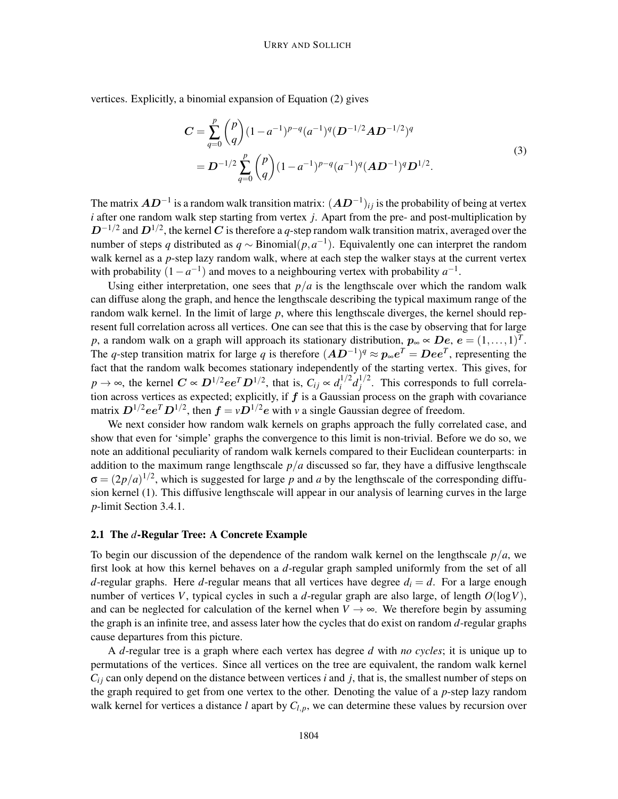vertices. Explicitly, a binomial expansion of Equation (2) gives

$$
C = \sum_{q=0}^{p} {p \choose q} (1 - a^{-1})^{p-q} (a^{-1})^q (D^{-1/2}AD^{-1/2})^q
$$
  
= 
$$
D^{-1/2} \sum_{q=0}^{p} {p \choose q} (1 - a^{-1})^{p-q} (a^{-1})^q (AD^{-1})^q D^{1/2}.
$$
 (3)

The matrix  $\bm{A}\bm{D}^{-1}$  is a random walk transition matrix:  $(\bm{A}\bm{D}^{-1})_{ij}$  is the probability of being at vertex *i* after one random walk step starting from vertex *j*. Apart from the pre- and post-multiplication by  $D^{-1/2}$  and  $D^{1/2}$ , the kernel  $C$  is therefore a  $q$ -step random walk transition matrix, averaged over the number of steps *q* distributed as  $q \sim \text{Binomial}(p, a^{-1})$ . Equivalently one can interpret the random walk kernel as a *p*-step lazy random walk, where at each step the walker stays at the current vertex with probability  $(1 - a^{-1})$  and moves to a neighbouring vertex with probability  $a^{-1}$ .

Using either interpretation, one sees that  $p/a$  is the lengthscale over which the random walk can diffuse along the graph, and hence the lengthscale describing the typical maximum range of the random walk kernel. In the limit of large *p*, where this lengthscale diverges, the kernel should represent full correlation across all vertices. One can see that this is the case by observing that for large *p*, a random walk on a graph will approach its stationary distribution,  $p_{\infty} \propto De$ ,  $e = (1, \ldots, 1)^T$ . The *q*-step transition matrix for large *q* is therefore  $(AD^{-1})^q \approx p_{\infty}e^T = Dee^T$ , representing the fact that the random walk becomes stationary independently of the starting vertex. This gives, for  $p \rightarrow \infty$ , the kernel  $C \propto D^{1/2} ee^T D^{1/2}$ , that is,  $C_{ij} \propto d_i^{1/2}$  $i^{1/2}d_j^{1/2}$  $j^{\frac{1}{2}}$ . This corresponds to full correlation across vertices as expected; explicitly, if  $f$  is a Gaussian process on the graph with covariance matrix  $D^{1/2}ee^T D^{1/2}$ , then  $f = vD^{1/2}e$  with *v* a single Gaussian degree of freedom.

We next consider how random walk kernels on graphs approach the fully correlated case, and show that even for 'simple' graphs the convergence to this limit is non-trivial. Before we do so, we note an additional peculiarity of random walk kernels compared to their Euclidean counterparts: in addition to the maximum range lengthscale  $p/a$  discussed so far, they have a diffusive lengthscale  $\sigma = (2p/a)^{1/2}$ , which is suggested for large p and a by the lengthscale of the corresponding diffusion kernel (1). This diffusive lengthscale will appear in our analysis of learning curves in the large *p*-limit Section 3.4.1.

#### 2.1 The *d*-Regular Tree: A Concrete Example

To begin our discussion of the dependence of the random walk kernel on the lengthscale *p*/*a*, we first look at how this kernel behaves on a *d*-regular graph sampled uniformly from the set of all *d*-regular graphs. Here *d*-regular means that all vertices have degree  $d_i = d$ . For a large enough number of vertices *V*, typical cycles in such a *d*-regular graph are also large, of length  $O(\log V)$ , and can be neglected for calculation of the kernel when  $V \rightarrow \infty$ . We therefore begin by assuming the graph is an infinite tree, and assess later how the cycles that do exist on random *d*-regular graphs cause departures from this picture.

A *d*-regular tree is a graph where each vertex has degree *d* with *no cycles*; it is unique up to permutations of the vertices. Since all vertices on the tree are equivalent, the random walk kernel  $C_{ij}$  can only depend on the distance between vertices *i* and *j*, that is, the smallest number of steps on the graph required to get from one vertex to the other. Denoting the value of a *p*-step lazy random walk kernel for vertices a distance *l* apart by  $C_{l,p}$ , we can determine these values by recursion over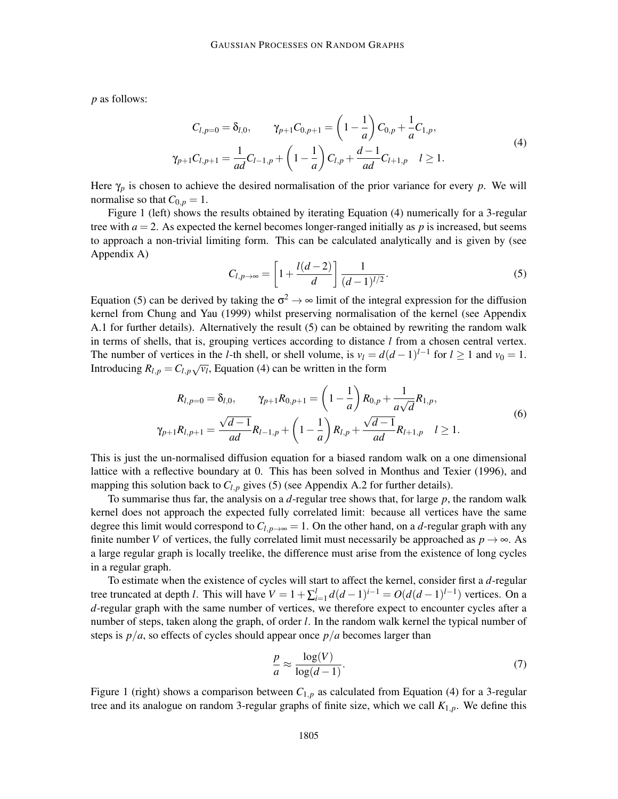*p* as follows:

$$
C_{l,p=0} = \delta_{l,0}, \qquad \gamma_{p+1}C_{0,p+1} = \left(1 - \frac{1}{a}\right)C_{0,p} + \frac{1}{a}C_{1,p},
$$
  

$$
\gamma_{p+1}C_{l,p+1} = \frac{1}{ad}C_{l-1,p} + \left(1 - \frac{1}{a}\right)C_{l,p} + \frac{d-1}{ad}C_{l+1,p} \quad l \ge 1.
$$
 (4)

Here  $\gamma_p$  is chosen to achieve the desired normalisation of the prior variance for every *p*. We will normalise so that  $C_{0,p} = 1$ .

Figure 1 (left) shows the results obtained by iterating Equation (4) numerically for a 3-regular tree with  $a = 2$ . As expected the kernel becomes longer-ranged initially as  $p$  is increased, but seems to approach a non-trivial limiting form. This can be calculated analytically and is given by (see Appendix A)

$$
C_{l,p\to\infty} = \left[1 + \frac{l(d-2)}{d}\right] \frac{1}{(d-1)^{l/2}}.
$$
 (5)

Equation (5) can be derived by taking the  $\sigma^2 \to \infty$  limit of the integral expression for the diffusion kernel from Chung and Yau (1999) whilst preserving normalisation of the kernel (see Appendix A.1 for further details). Alternatively the result (5) can be obtained by rewriting the random walk in terms of shells, that is, grouping vertices according to distance *l* from a chosen central vertex. The number of vertices in the *l*-th shell, or shell volume, is  $v_l = d(d-1)^{l-1}$  for  $l \ge 1$  and  $v_0 = 1$ . Introducing  $R_{l,p} = C_{l,p}\sqrt{v_l}$ , Equation (4) can be written in the form

$$
R_{l,p=0} = \delta_{l,0}, \qquad \gamma_{p+1}R_{0,p+1} = \left(1 - \frac{1}{a}\right)R_{0,p} + \frac{1}{a\sqrt{d}}R_{1,p},
$$
  

$$
\gamma_{p+1}R_{l,p+1} = \frac{\sqrt{d-1}}{ad}R_{l-1,p} + \left(1 - \frac{1}{a}\right)R_{l,p} + \frac{\sqrt{d-1}}{ad}R_{l+1,p} \quad l \ge 1.
$$
 (6)

This is just the un-normalised diffusion equation for a biased random walk on a one dimensional lattice with a reflective boundary at 0. This has been solved in Monthus and Texier (1996), and mapping this solution back to  $C_{l,p}$  gives (5) (see Appendix A.2 for further details).

To summarise thus far, the analysis on a *d*-regular tree shows that, for large *p*, the random walk kernel does not approach the expected fully correlated limit: because all vertices have the same degree this limit would correspond to  $C_{l,p\to\infty} = 1$ . On the other hand, on a *d*-regular graph with any finite number *V* of vertices, the fully correlated limit must necessarily be approached as  $p \rightarrow \infty$ . As a large regular graph is locally treelike, the difference must arise from the existence of long cycles in a regular graph.

To estimate when the existence of cycles will start to affect the kernel, consider first a *d*-regular tree truncated at depth *l*. This will have  $V = 1 + \sum_{i=1}^{l} d(d-1)^{i-1} = O(d(d-1)^{l-1})$  vertices. On a *d*-regular graph with the same number of vertices, we therefore expect to encounter cycles after a number of steps, taken along the graph, of order *l*. In the random walk kernel the typical number of steps is  $p/a$ , so effects of cycles should appear once  $p/a$  becomes larger than

$$
\frac{p}{a} \approx \frac{\log(V)}{\log(d-1)}.\tag{7}
$$

Figure 1 (right) shows a comparison between  $C_{1,p}$  as calculated from Equation (4) for a 3-regular tree and its analogue on random 3-regular graphs of finite size, which we call *K*1,*p*. We define this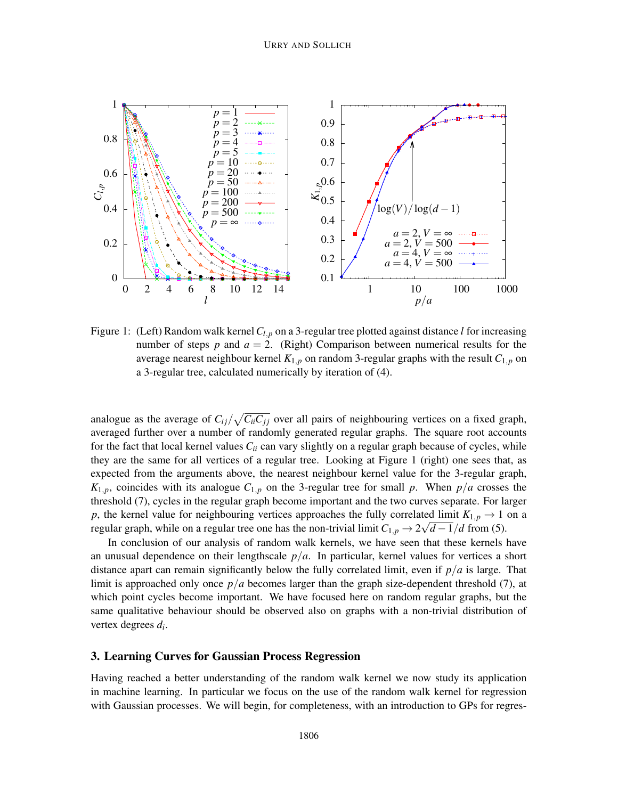

Figure 1: (Left) Random walk kernel*Cl*,*<sup>p</sup>* on a 3-regular tree plotted against distance *l* for increasing number of steps  $p$  and  $a = 2$ . (Right) Comparison between numerical results for the average nearest neighbour kernel *K*1,*<sup>p</sup>* on random 3-regular graphs with the result *C*1,*<sup>p</sup>* on a 3-regular tree, calculated numerically by iteration of (4).

analogue as the average of  $C_{ij}/\sqrt{C_{ii}C_{jj}}$  over all pairs of neighbouring vertices on a fixed graph, averaged further over a number of randomly generated regular graphs. The square root accounts for the fact that local kernel values *Cii* can vary slightly on a regular graph because of cycles, while they are the same for all vertices of a regular tree. Looking at Figure 1 (right) one sees that, as expected from the arguments above, the nearest neighbour kernel value for the 3-regular graph,  $K_{1,p}$ , coincides with its analogue  $C_{1,p}$  on the 3-regular tree for small *p*. When  $p/a$  crosses the threshold (7), cycles in the regular graph become important and the two curves separate. For larger *p*, the kernel value for neighbouring vertices approaches the fully correlated limit  $K_{1,p} \rightarrow 1$  on a regular graph, while on a regular tree one has the non-trivial limit  $C_{1,p} \rightarrow 2\sqrt{d-1}/d$  from (5).

In conclusion of our analysis of random walk kernels, we have seen that these kernels have an unusual dependence on their lengthscale  $p/a$ . In particular, kernel values for vertices a short distance apart can remain significantly below the fully correlated limit, even if *p*/*a* is large. That limit is approached only once  $p/a$  becomes larger than the graph size-dependent threshold (7), at which point cycles become important. We have focused here on random regular graphs, but the same qualitative behaviour should be observed also on graphs with a non-trivial distribution of vertex degrees *d<sup>i</sup>* .

# 3. Learning Curves for Gaussian Process Regression

Having reached a better understanding of the random walk kernel we now study its application in machine learning. In particular we focus on the use of the random walk kernel for regression with Gaussian processes. We will begin, for completeness, with an introduction to GPs for regres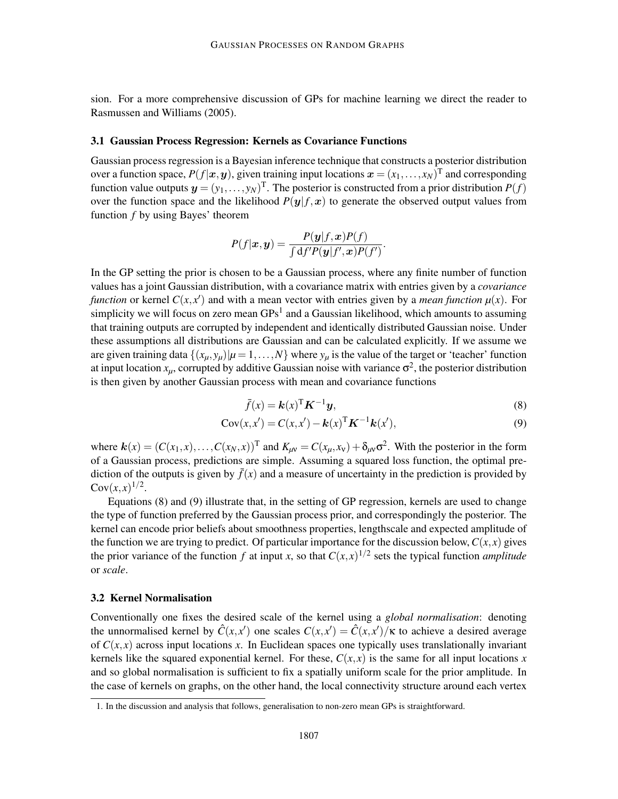sion. For a more comprehensive discussion of GPs for machine learning we direct the reader to Rasmussen and Williams (2005).

#### 3.1 Gaussian Process Regression: Kernels as Covariance Functions

Gaussian process regression is a Bayesian inference technique that constructs a posterior distribution over a function space,  $P(f | x, y)$ , given training input locations  $x = (x_1, \ldots, x_N)^T$  and corresponding function value outputs  $\mathbf{y} = (y_1, \dots, y_N)^\text{T}$ . The posterior is constructed from a prior distribution  $P(f)$ over the function space and the likelihood  $P(y| f, x)$  to generate the observed output values from function *f* by using Bayes' theorem

$$
P(f|\boldsymbol{x}, \boldsymbol{y}) = \frac{P(\boldsymbol{y}|f, \boldsymbol{x})P(f)}{\int df'P(\boldsymbol{y}|f', \boldsymbol{x})P(f')}
$$

In the GP setting the prior is chosen to be a Gaussian process, where any finite number of function values has a joint Gaussian distribution, with a covariance matrix with entries given by a *covariance function* or kernel  $C(x, x')$  and with a mean vector with entries given by a *mean function*  $\mu(x)$ . For simplicity we will focus on zero mean  $GPs<sup>1</sup>$  and a Gaussian likelihood, which amounts to assuming that training outputs are corrupted by independent and identically distributed Gaussian noise. Under these assumptions all distributions are Gaussian and can be calculated explicitly. If we assume we are given training data  $\{(x_{\mu}, y_{\mu}) | \mu = 1, ..., N\}$  where  $y_{\mu}$  is the value of the target or 'teacher' function at input location  $x_\mu$ , corrupted by additive Gaussian noise with variance  $\sigma^2$ , the posterior distribution is then given by another Gaussian process with mean and covariance functions

$$
\bar{f}(x) = \mathbf{k}(x)^{\mathrm{T}} \mathbf{K}^{-1} \mathbf{y},\tag{8}
$$

.

$$
Cov(x, x') = C(x, x') - \mathbf{k}(x)^{\mathrm{T}} \mathbf{K}^{-1} \mathbf{k}(x'),
$$
\n(9)

where  $\mathbf{k}(x) = (C(x_1, x), \dots, C(x_N, x))^T$  and  $K_{\mu\nu} = C(x_\mu, x_\nu) + \delta_{\mu\nu}\sigma^2$ . With the posterior in the form of a Gaussian process, predictions are simple. Assuming a squared loss function, the optimal prediction of the outputs is given by  $\bar{f}(x)$  and a measure of uncertainty in the prediction is provided by  $Cov(x, x)^{1/2}$ .

Equations (8) and (9) illustrate that, in the setting of GP regression, kernels are used to change the type of function preferred by the Gaussian process prior, and correspondingly the posterior. The kernel can encode prior beliefs about smoothness properties, lengthscale and expected amplitude of the function we are trying to predict. Of particular importance for the discussion below,  $C(x, x)$  gives the prior variance of the function  $f$  at input  $x$ , so that  $C(x, x)^{1/2}$  sets the typical function *amplitude* or *scale*.

# 3.2 Kernel Normalisation

Conventionally one fixes the desired scale of the kernel using a *global normalisation*: denoting the unnormalised kernel by  $\hat{C}(x,x')$  one scales  $C(x,x') = \hat{C}(x,x')/\kappa$  to achieve a desired average of  $C(x, x)$  across input locations x. In Euclidean spaces one typically uses translationally invariant kernels like the squared exponential kernel. For these,  $C(x, x)$  is the same for all input locations x and so global normalisation is sufficient to fix a spatially uniform scale for the prior amplitude. In the case of kernels on graphs, on the other hand, the local connectivity structure around each vertex

<sup>1.</sup> In the discussion and analysis that follows, generalisation to non-zero mean GPs is straightforward.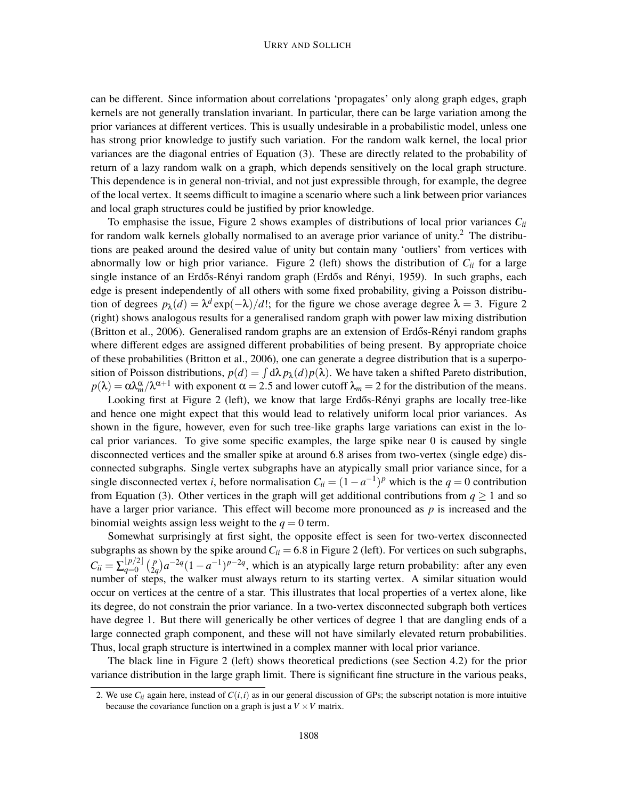can be different. Since information about correlations 'propagates' only along graph edges, graph kernels are not generally translation invariant. In particular, there can be large variation among the prior variances at different vertices. This is usually undesirable in a probabilistic model, unless one has strong prior knowledge to justify such variation. For the random walk kernel, the local prior variances are the diagonal entries of Equation (3). These are directly related to the probability of return of a lazy random walk on a graph, which depends sensitively on the local graph structure. This dependence is in general non-trivial, and not just expressible through, for example, the degree of the local vertex. It seems difficult to imagine a scenario where such a link between prior variances and local graph structures could be justified by prior knowledge.

To emphasise the issue, Figure 2 shows examples of distributions of local prior variances  $C_{ii}$ for random walk kernels globally normalised to an average prior variance of unity.<sup>2</sup> The distributions are peaked around the desired value of unity but contain many 'outliers' from vertices with abnormally low or high prior variance. Figure 2 (left) shows the distribution of  $C_{ii}$  for a large single instance of an Erdős-Rényi random graph (Erdős and Rényi, 1959). In such graphs, each edge is present independently of all others with some fixed probability, giving a Poisson distribution of degrees  $p_{\lambda}(d) = \lambda^d \exp(-\lambda)/d!$ ; for the figure we chose average degree  $\lambda = 3$ . Figure 2 (right) shows analogous results for a generalised random graph with power law mixing distribution (Britton et al., 2006). Generalised random graphs are an extension of Erdős-Rényi random graphs where different edges are assigned different probabilities of being present. By appropriate choice of these probabilities (Britton et al., 2006), one can generate a degree distribution that is a superposition of Poisson distributions,  $p(d) = \int d\lambda p_{\lambda}(d) p(\lambda)$ . We have taken a shifted Pareto distribution,  $p(\lambda) = \alpha \lambda_m^{\alpha}/\lambda^{\alpha+1}$  with exponent  $\alpha = 2.5$  and lower cutoff  $\lambda_m = 2$  for the distribution of the means.

Looking first at Figure 2 (left), we know that large Erdős-Rényi graphs are locally tree-like and hence one might expect that this would lead to relatively uniform local prior variances. As shown in the figure, however, even for such tree-like graphs large variations can exist in the local prior variances. To give some specific examples, the large spike near 0 is caused by single disconnected vertices and the smaller spike at around 6.8 arises from two-vertex (single edge) disconnected subgraphs. Single vertex subgraphs have an atypically small prior variance since, for a single disconnected vertex *i*, before normalisation  $C_{ii} = (1 - a^{-1})^p$  which is the  $q = 0$  contribution from Equation (3). Other vertices in the graph will get additional contributions from  $q \ge 1$  and so have a larger prior variance. This effect will become more pronounced as *p* is increased and the binomial weights assign less weight to the  $q = 0$  term.

Somewhat surprisingly at first sight, the opposite effect is seen for two-vertex disconnected subgraphs as shown by the spike around  $C_{ii} = 6.8$  in Figure 2 (left). For vertices on such subgraphs,  $C_{ii} = \sum_{q=0}^{\lfloor p/2 \rfloor} \binom{p}{2q}$  $\binom{p}{2q}a^{-2q}(1-a^{-1})^{p-2q}$ , which is an atypically large return probability: after any even number of steps, the walker must always return to its starting vertex. A similar situation would occur on vertices at the centre of a star. This illustrates that local properties of a vertex alone, like its degree, do not constrain the prior variance. In a two-vertex disconnected subgraph both vertices have degree 1. But there will generically be other vertices of degree 1 that are dangling ends of a large connected graph component, and these will not have similarly elevated return probabilities. Thus, local graph structure is intertwined in a complex manner with local prior variance.

The black line in Figure 2 (left) shows theoretical predictions (see Section 4.2) for the prior variance distribution in the large graph limit. There is significant fine structure in the various peaks,

<sup>2.</sup> We use  $C_{ii}$  again here, instead of  $C(i, i)$  as in our general discussion of GPs; the subscript notation is more intuitive because the covariance function on a graph is just a  $V \times V$  matrix.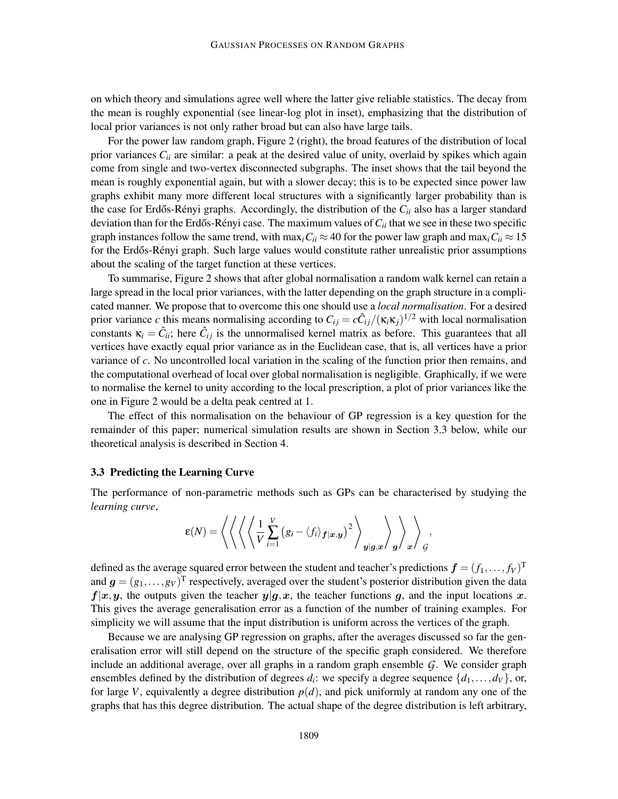on which theory and simulations agree well where the latter give reliable statistics. The decay from the mean is roughly exponential (see linear-log plot in inset), emphasizing that the distribution of local prior variances is not only rather broad but can also have large tails.

For the power law random graph, Figure 2 (right), the broad features of the distribution of local prior variances *Cii* are similar: a peak at the desired value of unity, overlaid by spikes which again come from single and two-vertex disconnected subgraphs. The inset shows that the tail beyond the mean is roughly exponential again, but with a slower decay; this is to be expected since power law graphs exhibit many more different local structures with a significantly larger probability than is the case for Erdős-Rényi graphs. Accordingly, the distribution of the  $C_{ii}$  also has a larger standard deviation than for the Erdős-Rényi case. The maximum values of  $C_{ii}$  that we see in these two specific graph instances follow the same trend, with max<sub>*i*</sub> $C_{ii} \approx 40$  for the power law graph and max<sub>*i*</sub> $C_{ii} \approx 15$ for the Erdős-Rényi graph. Such large values would constitute rather unrealistic prior assumptions about the scaling of the target function at these vertices.

To summarise, Figure 2 shows that after global normalisation a random walk kernel can retain a large spread in the local prior variances, with the latter depending on the graph structure in a complicated manner. We propose that to overcome this one should use a *local normalisation*. For a desired prior variance *c* this means normalising according to  $C_{ij} = c\hat{C}_{ij}/(\kappa_i\kappa_j)^{1/2}$  with local normalisation constants  $\kappa_i = \hat{C}_{ii}$ ; here  $\hat{C}_{ij}$  is the unnormalised kernel matrix as before. This guarantees that all vertices have exactly equal prior variance as in the Euclidean case, that is, all vertices have a prior variance of *c*. No uncontrolled local variation in the scaling of the function prior then remains, and the computational overhead of local over global normalisation is negligible. Graphically, if we were to normalise the kernel to unity according to the local prescription, a plot of prior variances like the one in Figure 2 would be a delta peak centred at 1.

The effect of this normalisation on the behaviour of GP regression is a key question for the remainder of this paper; numerical simulation results are shown in Section 3.3 below, while our theoretical analysis is described in Section 4.

### 3.3 Predicting the Learning Curve

The performance of non-parametric methods such as GPs can be characterised by studying the *learning curve*,

$$
\mathcal{E}(N) = \left\langle \left\langle \left\langle \left\langle \left\langle \frac{1}{V} \sum_{i=1}^{V} \left\langle g_i - \langle f_i \rangle_{f | x, y} \right)^2 \right\rangle_{y | g, x} \right\rangle_g \right\rangle_{x} \right\rangle_{\mathcal{G}},
$$

defined as the average squared error between the student and teacher's predictions  $\bm{f}=(f_1,\ldots,f_V)^\text{T}$ and  $g = (g_1, \ldots, g_V)^T$  respectively, averaged over the student's posterior distribution given the data  $f|x,y|$ , the outputs given the teacher  $y|g,x|$ , the teacher functions g, and the input locations x. This gives the average generalisation error as a function of the number of training examples. For simplicity we will assume that the input distribution is uniform across the vertices of the graph.

Because we are analysing GP regression on graphs, after the averages discussed so far the generalisation error will still depend on the structure of the specific graph considered. We therefore include an additional average, over all graphs in a random graph ensemble *G*. We consider graph ensembles defined by the distribution of degrees  $d_i$ : we specify a degree sequence  $\{d_1, \ldots, d_V\}$ , or, for large *V*, equivalently a degree distribution  $p(d)$ , and pick uniformly at random any one of the graphs that has this degree distribution. The actual shape of the degree distribution is left arbitrary,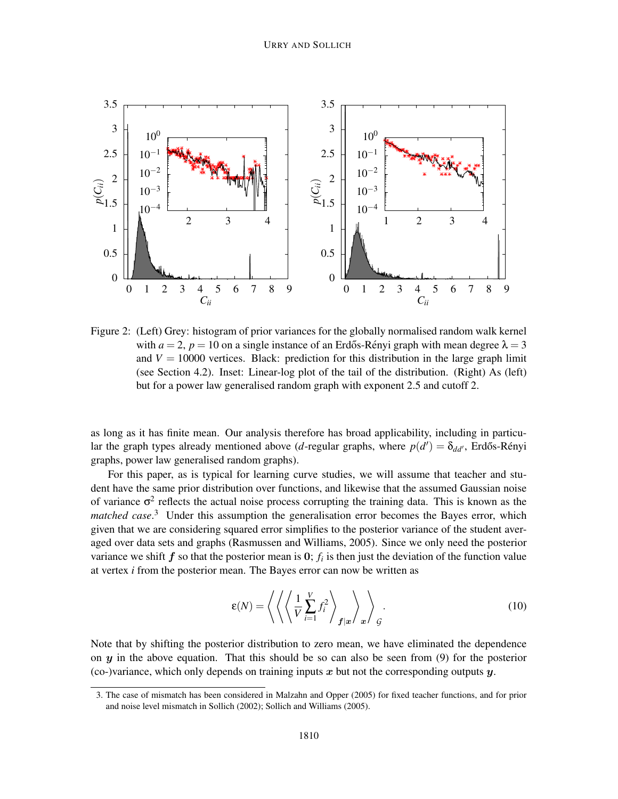

Figure 2: (Left) Grey: histogram of prior variances for the globally normalised random walk kernel with  $a = 2$ ,  $p = 10$  on a single instance of an Erdős-Rényi graph with mean degree  $\lambda = 3$ and  $V = 10000$  vertices. Black: prediction for this distribution in the large graph limit (see Section 4.2). Inset: Linear-log plot of the tail of the distribution. (Right) As (left) but for a power law generalised random graph with exponent 2.5 and cutoff 2.

as long as it has finite mean. Our analysis therefore has broad applicability, including in particular the graph types already mentioned above (*d*-regular graphs, where  $p(d') = \delta_{dd'}$ , Erdős-Rényi graphs, power law generalised random graphs).

For this paper, as is typical for learning curve studies, we will assume that teacher and student have the same prior distribution over functions, and likewise that the assumed Gaussian noise of variance  $\sigma^2$  reflects the actual noise process corrupting the training data. This is known as the matched case.<sup>3</sup> Under this assumption the generalisation error becomes the Bayes error, which given that we are considering squared error simplifies to the posterior variance of the student averaged over data sets and graphs (Rasmussen and Williams, 2005). Since we only need the posterior variance we shift  $f$  so that the posterior mean is  $0$ ;  $f_i$  is then just the deviation of the function value at vertex *i* from the posterior mean. The Bayes error can now be written as

$$
\mathcal{E}(N) = \left\langle \left\langle \left\langle \frac{1}{V} \sum_{i=1}^{V} f_i^2 \right\rangle_{\mathbf{f}|\mathbf{x}} \right\rangle_{\mathbf{x}} \right\rangle_{\mathcal{G}}.
$$
\n(10)

Note that by shifting the posterior distribution to zero mean, we have eliminated the dependence on  $y$  in the above equation. That this should be so can also be seen from  $(9)$  for the posterior (co-)variance, which only depends on training inputs  $x$  but not the corresponding outputs  $y$ .

<sup>3.</sup> The case of mismatch has been considered in Malzahn and Opper (2005) for fixed teacher functions, and for prior and noise level mismatch in Sollich (2002); Sollich and Williams (2005).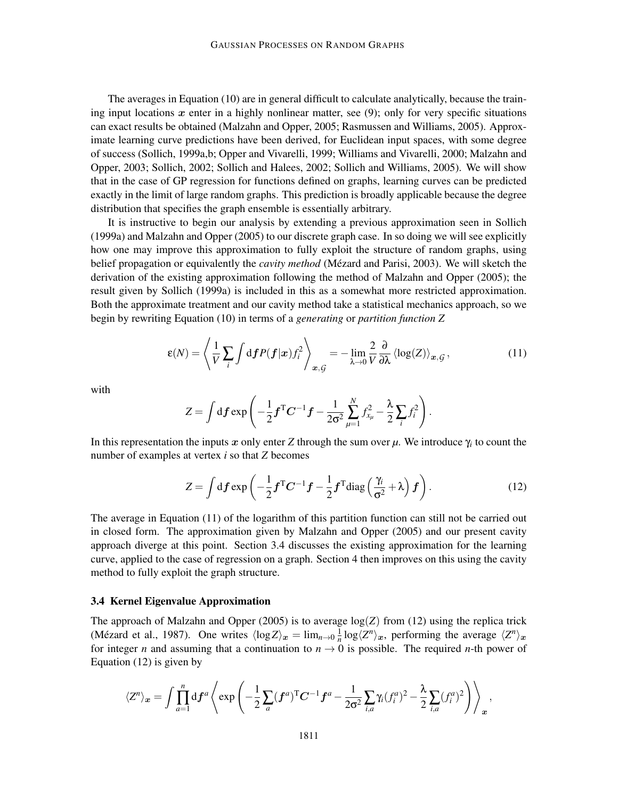The averages in Equation (10) are in general difficult to calculate analytically, because the training input locations  $x$  enter in a highly nonlinear matter, see (9); only for very specific situations can exact results be obtained (Malzahn and Opper, 2005; Rasmussen and Williams, 2005). Approximate learning curve predictions have been derived, for Euclidean input spaces, with some degree of success (Sollich, 1999a,b; Opper and Vivarelli, 1999; Williams and Vivarelli, 2000; Malzahn and Opper, 2003; Sollich, 2002; Sollich and Halees, 2002; Sollich and Williams, 2005). We will show that in the case of GP regression for functions defined on graphs, learning curves can be predicted exactly in the limit of large random graphs. This prediction is broadly applicable because the degree distribution that specifies the graph ensemble is essentially arbitrary.

It is instructive to begin our analysis by extending a previous approximation seen in Sollich (1999a) and Malzahn and Opper (2005) to our discrete graph case. In so doing we will see explicitly how one may improve this approximation to fully exploit the structure of random graphs, using belief propagation or equivalently the *cavity method* (Mézard and Parisi, 2003). We will sketch the derivation of the existing approximation following the method of Malzahn and Opper (2005); the result given by Sollich (1999a) is included in this as a somewhat more restricted approximation. Both the approximate treatment and our cavity method take a statistical mechanics approach, so we begin by rewriting Equation (10) in terms of a *generating* or *partition function Z*

$$
\varepsilon(N) = \left\langle \frac{1}{V} \sum_{i} \int \mathrm{d}f P(f | \mathbf{x}) f_i^2 \right\rangle_{\mathbf{x}, \mathcal{G}} = - \lim_{\lambda \to 0} \frac{2}{V} \frac{\partial}{\partial \lambda} \left\langle \log(Z) \right\rangle_{\mathbf{x}, \mathcal{G}},\tag{11}
$$

with

$$
Z = \int \mathrm{d} \boldsymbol{f} \exp \left(-\frac{1}{2} \boldsymbol{f}^{\mathrm{T}} \boldsymbol{C}^{-1} \boldsymbol{f} - \frac{1}{2\sigma^2} \sum_{\mu=1}^{N} f_{x_{\mu}}^2 - \frac{\lambda}{2} \sum_{i} f_{i}^2\right).
$$

In this representation the inputs  $x$  only enter  $Z$  through the sum over  $\mu$ . We introduce  $\gamma_i$  to count the number of examples at vertex *i* so that *Z* becomes

$$
Z = \int df \exp\left(-\frac{1}{2}f^{T}C^{-1}f - \frac{1}{2}f^{T}diag\left(\frac{\gamma_{i}}{\sigma^{2}} + \lambda\right)f\right).
$$
 (12)

The average in Equation (11) of the logarithm of this partition function can still not be carried out in closed form. The approximation given by Malzahn and Opper (2005) and our present cavity approach diverge at this point. Section 3.4 discusses the existing approximation for the learning curve, applied to the case of regression on a graph. Section 4 then improves on this using the cavity method to fully exploit the graph structure.

#### 3.4 Kernel Eigenvalue Approximation

The approach of Malzahn and Opper (2005) is to average  $log(Z)$  from (12) using the replica trick (Mézard et al., 1987). One writes  $\langle \log Z \rangle_{\mathbf{x}} = \lim_{n \to 0} \frac{1}{n}$  $\frac{1}{n}$ log $\langle Z^n \rangle_{\mathbf{x}}$ , performing the average  $\langle Z^n \rangle_{\mathbf{x}}$ for integer *n* and assuming that a continuation to  $n \rightarrow 0$  is possible. The required *n*-th power of Equation (12) is given by

$$
\langle Z^n \rangle_{\boldsymbol{x}} = \int \prod_{a=1}^n df^a \left\langle \exp \left( -\frac{1}{2} \sum_a (\boldsymbol{f}^a)^{\mathrm{T}} \boldsymbol{C}^{-1} \boldsymbol{f}^a - \frac{1}{2\sigma^2} \sum_{i,a} \gamma_i (f_i^a)^2 - \frac{\lambda}{2} \sum_{i,a} (f_i^a)^2 \right) \right\rangle_{\boldsymbol{x}},
$$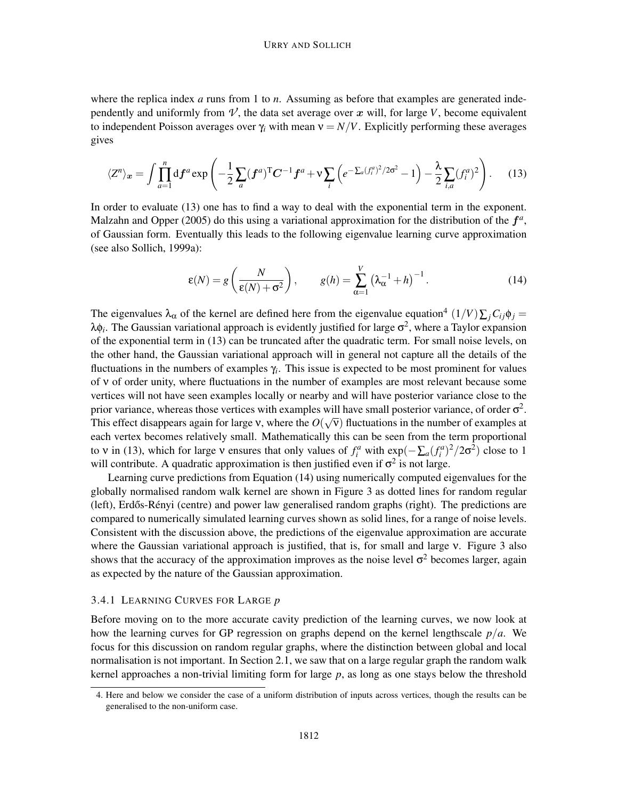where the replica index *a* runs from 1 to *n*. Assuming as before that examples are generated independently and uniformly from  $\nu'$ , the data set average over x will, for large  $V$ , become equivalent to independent Poisson averages over  $\gamma_i$  with mean  $v = N/V$ . Explicitly performing these averages gives

$$
\langle Z^n \rangle_{\boldsymbol{x}} = \int \prod_{a=1}^n df^a \exp\left(-\frac{1}{2} \sum_a (\boldsymbol{f}^a)^{\mathrm{T}} \boldsymbol{C}^{-1} \boldsymbol{f}^a + \nu \sum_i \left(e^{-\sum_a (f_i^a)^2/2\sigma^2} - 1\right) - \frac{\lambda}{2} \sum_{i,a} (f_i^a)^2\right). \tag{13}
$$

In order to evaluate (13) one has to find a way to deal with the exponential term in the exponent. Malzahn and Opper  $(2005)$  do this using a variational approximation for the distribution of the  $f^a$ , of Gaussian form. Eventually this leads to the following eigenvalue learning curve approximation (see also Sollich, 1999a):

$$
\varepsilon(N) = g\left(\frac{N}{\varepsilon(N) + \sigma^2}\right), \qquad g(h) = \sum_{\alpha=1}^{V} \left(\lambda_{\alpha}^{-1} + h\right)^{-1}.
$$
 (14)

The eigenvalues  $\lambda_{\alpha}$  of the kernel are defined here from the eigenvalue equation<sup>4</sup>  $(1/V)\sum_{j}C_{ij}\phi_{j}$  = λφ<sub>i</sub>. The Gaussian variational approach is evidently justified for large  $\sigma^2$ , where a Taylor expansion of the exponential term in (13) can be truncated after the quadratic term. For small noise levels, on the other hand, the Gaussian variational approach will in general not capture all the details of the fluctuations in the numbers of examples γ*<sup>i</sup>* . This issue is expected to be most prominent for values of ν of order unity, where fluctuations in the number of examples are most relevant because some vertices will not have seen examples locally or nearby and will have posterior variance close to the prior variance, whereas those vertices with examples will have small posterior variance, of order  $\sigma^2$ . This effect disappears again for large v, where the  $O(\sqrt{v})$  fluctuations in the number of examples at each vertex becomes relatively small. Mathematically this can be seen from the term proportional to v in (13), which for large v ensures that only values of  $f_i^a$  with  $\exp(-\sum_a (f_i^a)^2/2\sigma^2)$  close to 1 will contribute. A quadratic approximation is then justified even if  $\sigma^2$  is not large.

Learning curve predictions from Equation (14) using numerically computed eigenvalues for the globally normalised random walk kernel are shown in Figure 3 as dotted lines for random regular (left), Erdős-Rényi (centre) and power law generalised random graphs (right). The predictions are compared to numerically simulated learning curves shown as solid lines, for a range of noise levels. Consistent with the discussion above, the predictions of the eigenvalue approximation are accurate where the Gaussian variational approach is justified, that is, for small and large ν. Figure 3 also shows that the accuracy of the approximation improves as the noise level  $\sigma^2$  becomes larger, again as expected by the nature of the Gaussian approximation.

#### 3.4.1 LEARNING CURVES FOR LARGE *p*

Before moving on to the more accurate cavity prediction of the learning curves, we now look at how the learning curves for GP regression on graphs depend on the kernel lengthscale *p*/*a*. We focus for this discussion on random regular graphs, where the distinction between global and local normalisation is not important. In Section 2.1, we saw that on a large regular graph the random walk kernel approaches a non-trivial limiting form for large *p*, as long as one stays below the threshold

<sup>4.</sup> Here and below we consider the case of a uniform distribution of inputs across vertices, though the results can be generalised to the non-uniform case.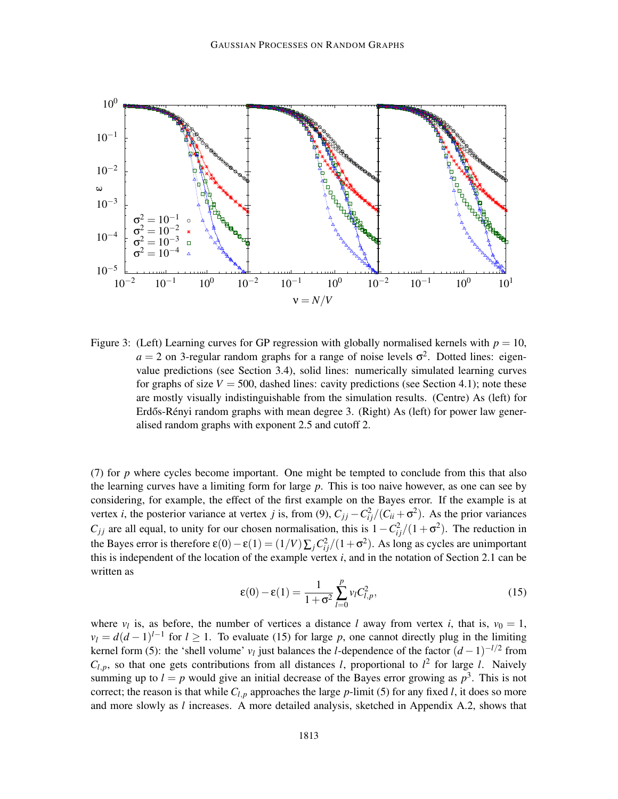

Figure 3: (Left) Learning curves for GP regression with globally normalised kernels with  $p = 10$ ,  $a = 2$  on 3-regular random graphs for a range of noise levels  $\sigma^2$ . Dotted lines: eigenvalue predictions (see Section 3.4), solid lines: numerically simulated learning curves for graphs of size  $V = 500$ , dashed lines: cavity predictions (see Section 4.1); note these are mostly visually indistinguishable from the simulation results. (Centre) As (left) for Erdős-Rényi random graphs with mean degree 3. (Right) As (left) for power law generalised random graphs with exponent 2.5 and cutoff 2.

(7) for *p* where cycles become important. One might be tempted to conclude from this that also the learning curves have a limiting form for large *p*. This is too naive however, as one can see by considering, for example, the effect of the first example on the Bayes error. If the example is at vertex *i*, the posterior variance at vertex *j* is, from (9),  $C_{jj} - C_{ij}^2/(C_{ii} + \sigma^2)$ . As the prior variances *C*<sub>*jj*</sub> are all equal, to unity for our chosen normalisation, this is  $1 - C_{ij}^2/(1 + \sigma^2)$ . The reduction in the Bayes error is therefore  $\varepsilon(0) - \varepsilon(1) = (1/V)\sum_j C_{ij}^2/(1+\sigma^2)$ . As long as cycles are unimportant this is independent of the location of the example vertex *i*, and in the notation of Section 2.1 can be written as

$$
\varepsilon(0) - \varepsilon(1) = \frac{1}{1 + \sigma^2} \sum_{l=0}^{p} v_l C_{l,p}^2,
$$
\n(15)

where  $v_l$  is, as before, the number of vertices a distance *l* away from vertex *i*, that is,  $v_0 = 1$ ,  $\nu_l = d(d-1)^{l-1}$  for  $l \geq 1$ . To evaluate (15) for large *p*, one cannot directly plug in the limiting kernel form (5): the 'shell volume' *v*<sub>*l*</sub> just balances the *l*-dependence of the factor  $(d-1)^{-l/2}$  from  $C_{l,p}$ , so that one gets contributions from all distances *l*, proportional to  $l^2$  for large *l*. Naively summing up to  $l = p$  would give an initial decrease of the Bayes error growing as  $p<sup>3</sup>$ . This is not correct; the reason is that while  $C_{l,p}$  approaches the large  $p$ -limit (5) for any fixed *l*, it does so more and more slowly as *l* increases. A more detailed analysis, sketched in Appendix A.2, shows that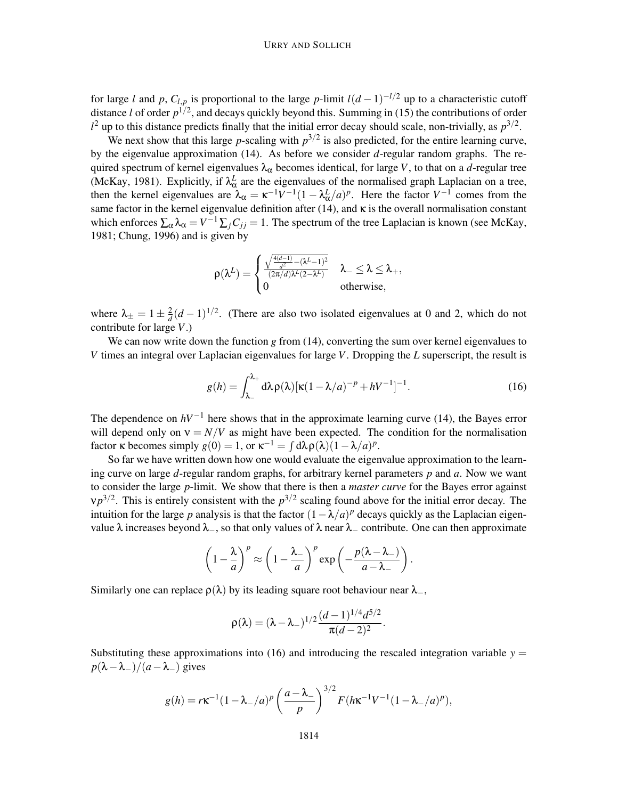for large *l* and *p*,  $C_{l,p}$  is proportional to the large *p*-limit  $l(d-1)^{-l/2}$  up to a characteristic cutoff distance *l* of order  $p^{1/2}$ , and decays quickly beyond this. Summing in (15) the contributions of order  $l^2$  up to this distance predicts finally that the initial error decay should scale, non-trivially, as  $p^{3/2}$ .

We next show that this large  $p$ -scaling with  $p^{3/2}$  is also predicted, for the entire learning curve, by the eigenvalue approximation (14). As before we consider *d*-regular random graphs. The required spectrum of kernel eigenvalues  $\lambda_{\alpha}$  becomes identical, for large *V*, to that on a *d*-regular tree (McKay, 1981). Explicitly, if  $\lambda_{\alpha}^{L}$  are the eigenvalues of the normalised graph Laplacian on a tree, then the kernel eigenvalues are  $\lambda_{\alpha} = \kappa^{-1} V^{-1} (1 - \lambda_{\alpha}^L / a)^p$ . Here the factor  $V^{-1}$  comes from the same factor in the kernel eigenvalue definition after (14), and  $\kappa$  is the overall normalisation constant which enforces  $\sum_{\alpha} \lambda_{\alpha} = V^{-1} \sum_{j} C_{jj} = 1$ . The spectrum of the tree Laplacian is known (see McKay, 1981; Chung, 1996) and is given by

$$
\textstyle \rho(\lambda^L) = \begin{cases} \frac{\sqrt{\frac{4(d-1)}{d^2} - (\lambda^L - 1)^2}}{(2\pi/d)\lambda^L(2-\lambda^L)} & \lambda_- \leq \lambda \leq \lambda_+, \\ 0 & \text{otherwise}, \end{cases}
$$

where  $\lambda_{\pm} = 1 \pm \frac{2}{d}$  $\frac{2}{d}(d-1)^{1/2}$ . (There are also two isolated eigenvalues at 0 and 2, which do not contribute for large *V*.)

We can now write down the function *g* from (14), converting the sum over kernel eigenvalues to *V* times an integral over Laplacian eigenvalues for large *V*. Dropping the *L* superscript, the result is

$$
g(h) = \int_{\lambda_-}^{\lambda_+} d\lambda \rho(\lambda) [\kappa (1 - \lambda/a)^{-p} + hV^{-1}]^{-1}.
$$
 (16)

The dependence on  $hV^{-1}$  here shows that in the approximate learning curve (14), the Bayes error will depend only on  $v = N/V$  as might have been expected. The condition for the normalisation factor **k** becomes simply  $g(0) = 1$ , or  $\kappa^{-1} = \int d\lambda \rho(\lambda)(1 - \lambda/a)^p$ .

So far we have written down how one would evaluate the eigenvalue approximation to the learning curve on large *d*-regular random graphs, for arbitrary kernel parameters *p* and *a*. Now we want to consider the large *p*-limit. We show that there is then a *master curve* for the Bayes error against  $v p^{3/2}$ . This is entirely consistent with the  $p^{3/2}$  scaling found above for the initial error decay. The intuition for the large *p* analysis is that the factor  $(1 - \lambda/a)^p$  decays quickly as the Laplacian eigenvalue  $\lambda$  increases beyond  $\lambda_-,$  so that only values of  $\lambda$  near  $\lambda_-$  contribute. One can then approximate

$$
\left(1-\frac{\lambda}{a}\right)^p \approx \left(1-\frac{\lambda_-}{a}\right)^p \exp\left(-\frac{p(\lambda-\lambda_-)}{a-\lambda_-}\right).
$$

Similarly one can replace  $\rho(\lambda)$  by its leading square root behaviour near  $\lambda_-,$ 

$$
\rho(\lambda) = (\lambda - \lambda_-)^{1/2} \frac{(d-1)^{1/4} d^{5/2}}{\pi (d-2)^2}.
$$

Substituting these approximations into  $(16)$  and introducing the rescaled integration variable  $y =$  $p(\lambda-\lambda_-)/(a-\lambda_-)$  gives

$$
g(h) = r\kappa^{-1}(1-\lambda_{-}/a)^{p} \left(\frac{a-\lambda_{-}}{p}\right)^{3/2} F(h\kappa^{-1}V^{-1}(1-\lambda_{-}/a)^{p}),
$$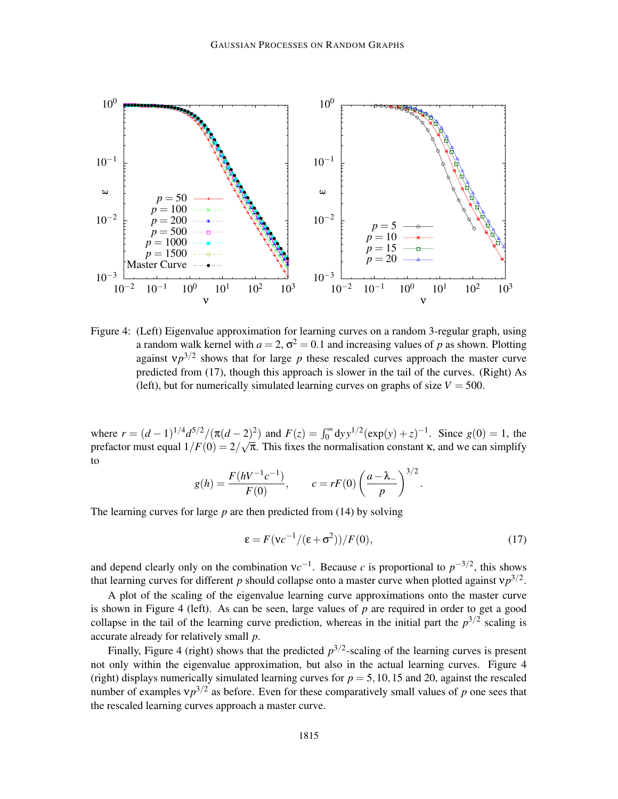

Figure 4: (Left) Eigenvalue approximation for learning curves on a random 3-regular graph, using a random walk kernel with  $a = 2$ ,  $\sigma^2 = 0.1$  and increasing values of p as shown. Plotting against  $v p^{3/2}$  shows that for large p these rescaled curves approach the master curve predicted from (17), though this approach is slower in the tail of the curves. (Right) As (left), but for numerically simulated learning curves on graphs of size  $V = 500$ .

where  $r = (d-1)^{1/4} d^{5/2} / (\pi(d-2)^2)$  and  $F(z) = \int_0^\infty dy y^{1/2} (\exp(y) + z)^{-1}$ . Since  $g(0) = 1$ , the prefactor must equal  $1/F(0) = 2/\sqrt{\pi}$ . This fixes the normalisation constant  $\kappa$ , and we can simplify to

$$
g(h) = \frac{F(hV^{-1}c^{-1})}{F(0)}, \qquad c = rF(0) \left(\frac{a-\lambda_-}{p}\right)^{3/2}.
$$

The learning curves for large *p* are then predicted from (14) by solving

$$
\varepsilon = F(\nu c^{-1}/(\varepsilon + \sigma^2))/F(0),\tag{17}
$$

and depend clearly only on the combination  $vc^{-1}$ . Because *c* is proportional to  $p^{-3/2}$ , this shows that learning curves for different *p* should collapse onto a master curve when plotted against  $v p^{3/2}$ .

A plot of the scaling of the eigenvalue learning curve approximations onto the master curve is shown in Figure 4 (left). As can be seen, large values of  $p$  are required in order to get a good collapse in the tail of the learning curve prediction, whereas in the initial part the  $p^{3/2}$  scaling is accurate already for relatively small *p*.

Finally, Figure 4 (right) shows that the predicted  $p^{3/2}$ -scaling of the learning curves is present not only within the eigenvalue approximation, but also in the actual learning curves. Figure 4 (right) displays numerically simulated learning curves for  $p = 5,10,15$  and 20, against the rescaled number of examples  $v p^{3/2}$  as before. Even for these comparatively small values of *p* one sees that the rescaled learning curves approach a master curve.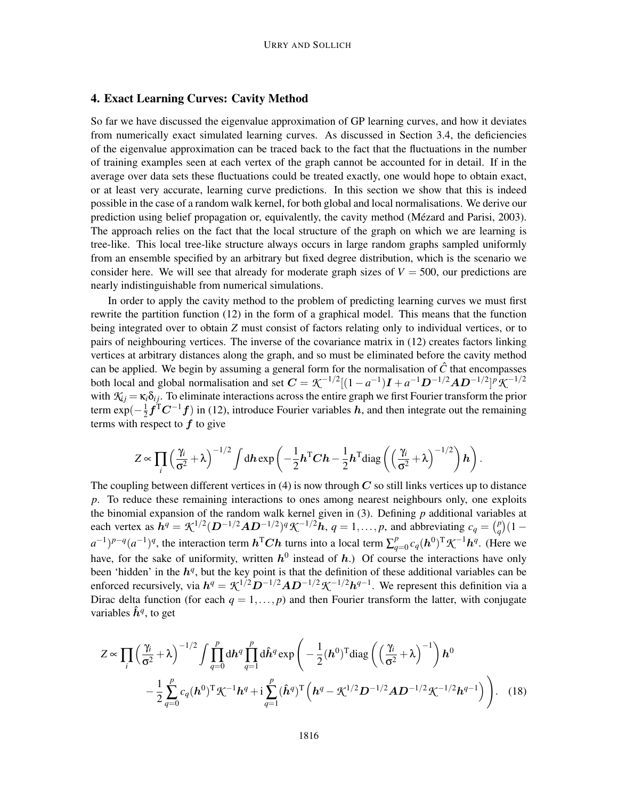# 4. Exact Learning Curves: Cavity Method

So far we have discussed the eigenvalue approximation of GP learning curves, and how it deviates from numerically exact simulated learning curves. As discussed in Section 3.4, the deficiencies of the eigenvalue approximation can be traced back to the fact that the fluctuations in the number of training examples seen at each vertex of the graph cannot be accounted for in detail. If in the average over data sets these fluctuations could be treated exactly, one would hope to obtain exact, or at least very accurate, learning curve predictions. In this section we show that this is indeed possible in the case of a random walk kernel, for both global and local normalisations. We derive our prediction using belief propagation or, equivalently, the cavity method (Mézard and Parisi, 2003). The approach relies on the fact that the local structure of the graph on which we are learning is tree-like. This local tree-like structure always occurs in large random graphs sampled uniformly from an ensemble specified by an arbitrary but fixed degree distribution, which is the scenario we consider here. We will see that already for moderate graph sizes of  $V = 500$ , our predictions are nearly indistinguishable from numerical simulations.

In order to apply the cavity method to the problem of predicting learning curves we must first rewrite the partition function (12) in the form of a graphical model. This means that the function being integrated over to obtain *Z* must consist of factors relating only to individual vertices, or to pairs of neighbouring vertices. The inverse of the covariance matrix in (12) creates factors linking vertices at arbitrary distances along the graph, and so must be eliminated before the cavity method can be applied. We begin by assuming a general form for the normalisation of  $\hat{C}$  that encompasses both local and global normalisation and set  $C = \mathcal{K}^{-1/2}[(1 - a^{-1})\mathbf{I} + a^{-1}\mathbf{D}^{-1/2}\mathbf{A}\mathbf{D}^{-1/2}]^p \mathcal{K}^{-1/2}$ with  $K_i = \kappa_i \delta_{ij}$ . To eliminate interactions across the entire graph we first Fourier transform the prior term exp $\left(-\frac{1}{2}\right)$  $\frac{1}{2} f^{\mathsf{T}} C^{-1} f$  in (12), introduce Fourier variables  $h$ , and then integrate out the remaining terms with respect to  $f$  to give

$$
Z \propto \prod_i \left(\frac{\gamma_i}{\sigma^2} + \lambda\right)^{-1/2} \int \mathrm{d}h \exp\left(-\frac{1}{2}h^{\mathrm{T}}Ch - \frac{1}{2}h^{\mathrm{T}}\mathrm{diag}\left(\left(\frac{\gamma_i}{\sigma^2} + \lambda\right)^{-1/2}\right)h\right).
$$

The coupling between different vertices in (4) is now through  $C$  so still links vertices up to distance *p*. To reduce these remaining interactions to ones among nearest neighbours only, one exploits the binomial expansion of the random walk kernel given in (3). Defining *p* additional variables at each vertex as  $h^q = \mathcal{K}^{1/2} (D^{-1/2}AD^{-1/2})^q \mathcal{K}^{-1/2}h$ ,  $q = 1, ..., p$ , and abbreviating  $c_q = \binom{p}{q}$  $_{q}^{p}$  $(1$  $a^{-1}$ )<sup>*p*-*q*</sup>( $a^{-1}$ )<sup>*q*</sup>, the interaction term  $h^{\text{T}}Ch$  turns into a local term  $\sum_{a}^{p}$  $_{q=0}^{p}c_q(\boldsymbol{h}^0)^{\mathrm{T}}$   $\mathcal{K}^{-1}\boldsymbol{h}^q$ . (Here we have, for the sake of uniformity, written  $h^0$  instead of  $h$ .) Of course the interactions have only been 'hidden' in the  $h<sup>q</sup>$ , but the key point is that the definition of these additional variables can be enforced recursively, via  $h^q = \mathcal{K}^{1/2} D^{-1/2} A D^{-1/2} \mathcal{K}^{-1/2} h^{q-1}$ . We represent this definition via a Dirac delta function (for each  $q = 1, \ldots, p$ ) and then Fourier transform the latter, with conjugate variables  $\hat{h}^q$ , to get

$$
Z \propto \prod_{i} \left(\frac{\gamma_{i}}{\sigma^{2}} + \lambda\right)^{-1/2} \int \prod_{q=0}^{p} d\mathbf{h}^{q} \prod_{q=1}^{p} d\hat{\mathbf{h}}^{q} \exp\left(-\frac{1}{2}(\mathbf{h}^{0})^{T} \text{diag}\left(\left(\frac{\gamma_{i}}{\sigma^{2}} + \lambda\right)^{-1}\right) \mathbf{h}^{0}\right)
$$

$$
-\frac{1}{2} \sum_{q=0}^{p} c_{q}(\mathbf{h}^{0})^{T} \mathcal{K}^{-1} \mathbf{h}^{q} + \mathbf{i} \sum_{q=1}^{p} (\hat{\mathbf{h}}^{q})^{T} \left(\mathbf{h}^{q} - \mathcal{K}^{1/2} \mathbf{D}^{-1/2} \mathbf{A} \mathbf{D}^{-1/2} \mathcal{K}^{-1/2} \mathbf{h}^{q-1}\right)\right). \quad (18)
$$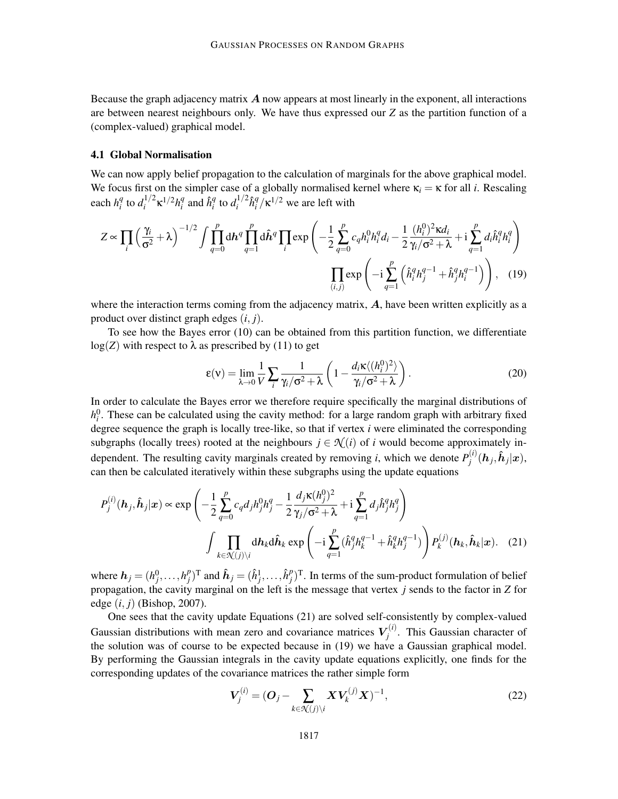Because the graph adjacency matrix  $\vec{A}$  now appears at most linearly in the exponent, all interactions are between nearest neighbours only. We have thus expressed our *Z* as the partition function of a (complex-valued) graphical model.

### 4.1 Global Normalisation

We can now apply belief propagation to the calculation of marginals for the above graphical model. We focus first on the simpler case of a globally normalised kernel where  $\kappa_i = \kappa$  for all *i*. Rescaling each  $h_i^q$  $_i^q$  to  $d_i^{1/2}$ <sup>1</sup>/<sup>2</sup>κ<sup>1/2</sup>*h*<sup>*q*</sup>  $\hat{h}^q_i$  and  $\hat{h}^q_i$  $_i^q$  to  $d_i^{1/2}$  $\hat{h}_i^{1/2}\hat{h}_i^q$  $\int_{i}^{q}$ / $\kappa$ <sup>1/2</sup> we are left with

$$
Z \propto \prod_{i} \left(\frac{\gamma_{i}}{\sigma^{2}} + \lambda\right)^{-1/2} \int \prod_{q=0}^{p} d\mathbf{h}^{q} \prod_{q=1}^{p} d\hat{\mathbf{h}}^{q} \prod_{i} \exp\left(-\frac{1}{2} \sum_{q=0}^{p} c_{q} h_{i}^{0} h_{i}^{q} d_{i} - \frac{1}{2} \frac{(h_{i}^{0})^{2} \kappa d_{i}}{\gamma_{i} / \sigma^{2} + \lambda} + i \sum_{q=1}^{p} d_{i} \hat{h}_{i}^{q} h_{i}^{q}\right)
$$

$$
\prod_{(i,j)} \exp\left(-i \sum_{q=1}^{p} \left(\hat{h}_{i}^{q} h_{j}^{q-1} + \hat{h}_{j}^{q} h_{i}^{q-1}\right)\right), \quad (19)
$$

where the interaction terms coming from the adjacency matrix,  $\vec{A}$ , have been written explicitly as a product over distinct graph edges (*i*, *j*).

To see how the Bayes error (10) can be obtained from this partition function, we differentiate  $log(Z)$  with respect to  $\lambda$  as prescribed by (11) to get

$$
\varepsilon(\mathbf{v}) = \lim_{\lambda \to 0} \frac{1}{V} \sum_{i} \frac{1}{\gamma_i / \sigma^2 + \lambda} \left( 1 - \frac{d_i \kappa \langle (h_i^0)^2 \rangle}{\gamma_i / \sigma^2 + \lambda} \right). \tag{20}
$$

In order to calculate the Bayes error we therefore require specifically the marginal distributions of  $h_i^0$ . These can be calculated using the cavity method: for a large random graph with arbitrary fixed degree sequence the graph is locally tree-like, so that if vertex *i* were eliminated the corresponding subgraphs (locally trees) rooted at the neighbours  $j \in \mathcal{N}(i)$  of *i* would become approximately independent. The resulting cavity marginals created by removing *i*, which we denote  $P_i^{(i)}$  $j^{(i)}(\boldsymbol{h}_j,\boldsymbol{\hat{h}}_j|\boldsymbol{x}),$ can then be calculated iteratively within these subgraphs using the update equations

$$
P_j^{(i)}(\boldsymbol{h}_j, \hat{\boldsymbol{h}}_j | \boldsymbol{x}) \propto \exp \left( -\frac{1}{2} \sum_{q=0}^p c_q d_j h_j^0 h_j^q - \frac{1}{2} \frac{d_j \kappa(h_j^0)^2}{\gamma_j / \sigma^2 + \lambda} + i \sum_{q=1}^p d_j \hat{h}_j^q h_j^q \right)
$$

$$
\int \prod_{k \in \mathcal{N}(j) \backslash i} d\boldsymbol{h}_k d\hat{\boldsymbol{h}}_k \exp \left( -i \sum_{q=1}^p (\hat{h}_j^q h_k^{q-1} + \hat{h}_k^q h_j^{q-1}) \right) P_k^{(j)}(\boldsymbol{h}_k, \hat{\boldsymbol{h}}_k | \boldsymbol{x}). \quad (21)
$$

where  $h_j = (h_j^0, \ldots, h_j^p)$  $(\hat{h}_j^p)$ <sup>T</sup> and  $\hat{h}_j = (\hat{h}_j^1, \dots, \hat{h}_j^p)$  $\binom{p}{j}$ <sup>T</sup>. In terms of the sum-product formulation of belief propagation, the cavity marginal on the left is the message that vertex *j* sends to the factor in *Z* for edge (*i*, *j*) (Bishop, 2007).

One sees that the cavity update Equations (21) are solved self-consistently by complex-valued Gaussian distributions with mean zero and covariance matrices  $V_i^{(i)}$  $j_i^{(t)}$ . This Gaussian character of the solution was of course to be expected because in (19) we have a Gaussian graphical model. By performing the Gaussian integrals in the cavity update equations explicitly, one finds for the corresponding updates of the covariance matrices the rather simple form

$$
V_j^{(i)} = (O_j - \sum_{k \in \mathcal{K}(j) \setminus i} X V_k^{(j)} X)^{-1},
$$
\n(22)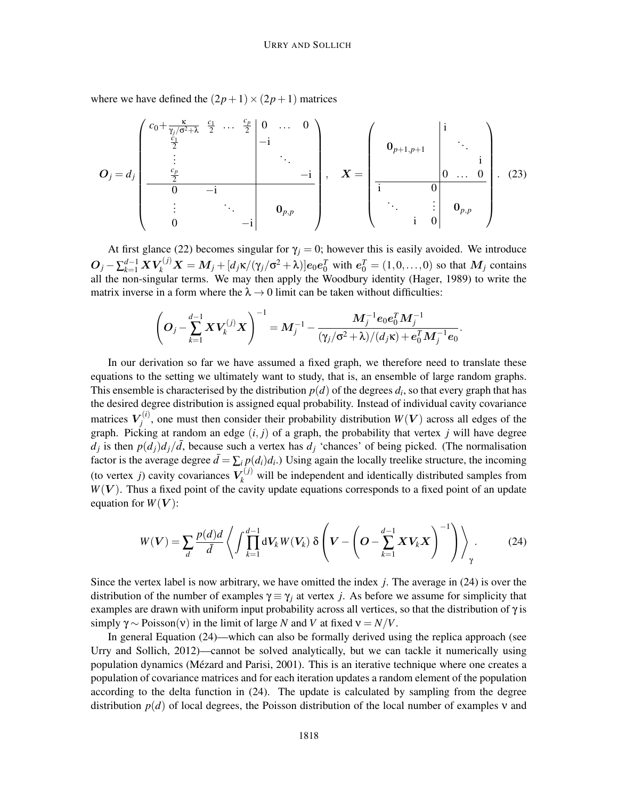where we have defined the  $(2p+1) \times (2p+1)$  matrices

$$
O_j = d_j \begin{pmatrix} c_0 + \frac{\kappa}{\gamma_j/\sigma^2 + \lambda} & \frac{c_1}{2} & \cdots & \frac{c_p}{2} & 0 & \cdots & 0 \\ \frac{c_1}{2} & & & & & \\ \vdots & & & & & \\ \frac{c_p}{2} & & & & & \\ 0 & & & & & -i & \\ \vdots & & & & & & \\ 0 & & & & & -i & \end{pmatrix}, X = \begin{pmatrix} 1 & & & & & \\ 0_{p+1,p+1} & & & & & \\ \frac{c_{p+1,p+1}}{2} & & & & & \\ \frac{c_p}{2} & & & & & \\ \vdots & & & & & \\ 0 & & & & & i & \\ \vdots & & & & & \\ 0 & & & & & i & 0 \end{pmatrix}.
$$
 (23)

At first glance (22) becomes singular for  $\gamma_j = 0$ ; however this is easily avoided. We introduce  $O_j - \sum_{k=1}^{d-1} X V_k^{(j)} X = M_j + [d_j \kappa / (\gamma_j / \sigma^2 + \lambda)] e_0 e_0^T$  with  $e_0^T = (1, 0, ..., 0)$  so that  $M_j$  contains all the non-singular terms. We may then apply the Woodbury identity (Hager, 1989) to write the matrix inverse in a form where the  $\lambda \rightarrow 0$  limit can be taken without difficulties:

$$
\left(O_j - \sum_{k=1}^{d-1} X V_k^{(j)} X\right)^{-1} = M_j^{-1} - \frac{M_j^{-1} e_0 e_0^T M_j^{-1}}{(\gamma_j/\sigma^2 + \lambda)/(d_j \kappa) + e_0^T M_j^{-1} e_0}.
$$

In our derivation so far we have assumed a fixed graph, we therefore need to translate these equations to the setting we ultimately want to study, that is, an ensemble of large random graphs. This ensemble is characterised by the distribution  $p(d)$  of the degrees  $d_i$ , so that every graph that has the desired degree distribution is assigned equal probability. Instead of individual cavity covariance matrices  $V_i^{(i)}$  $j^{(l)}$ , one must then consider their probability distribution  $W(V)$  across all edges of the graph. Picking at random an edge (*i*, *j*) of a graph, the probability that vertex *j* will have degree  $d_j$  is then  $p(d_j)d_j/\overline{d}$ , because such a vertex has  $d_j$  'chances' of being picked. (The normalisation factor is the average degree  $\bar{d} = \sum_i p(d_i) d_i$ .) Using again the locally treelike structure, the incoming (to vertex *j*) cavity covariances  $V_k^{(j)}$  will be independent and identically distributed samples from  $W(V)$ . Thus a fixed point of the cavity update equations corresponds to a fixed point of an update equation for  $W(V)$ :

$$
W(V) = \sum_{d} \frac{p(d)d}{d} \left\langle \int \prod_{k=1}^{d-1} dV_k W(V_k) \delta \left( V - \left( O - \sum_{k=1}^{d-1} X V_k X \right)^{-1} \right) \right\rangle_{\gamma}.
$$
 (24)

Since the vertex label is now arbitrary, we have omitted the index *j*. The average in (24) is over the distribution of the number of examples  $\gamma \equiv \gamma_i$  at vertex *j*. As before we assume for simplicity that examples are drawn with uniform input probability across all vertices, so that the distribution of  $\gamma$  is simply  $\gamma \sim \text{Poisson}(v)$  in the limit of large *N* and *V* at fixed  $v = N/V$ .

In general Equation (24)—which can also be formally derived using the replica approach (see Urry and Sollich, 2012)—cannot be solved analytically, but we can tackle it numerically using population dynamics (Mézard and Parisi, 2001). This is an iterative technique where one creates a population of covariance matrices and for each iteration updates a random element of the population according to the delta function in (24). The update is calculated by sampling from the degree distribution *p*(*d*) of local degrees, the Poisson distribution of the local number of examples ν and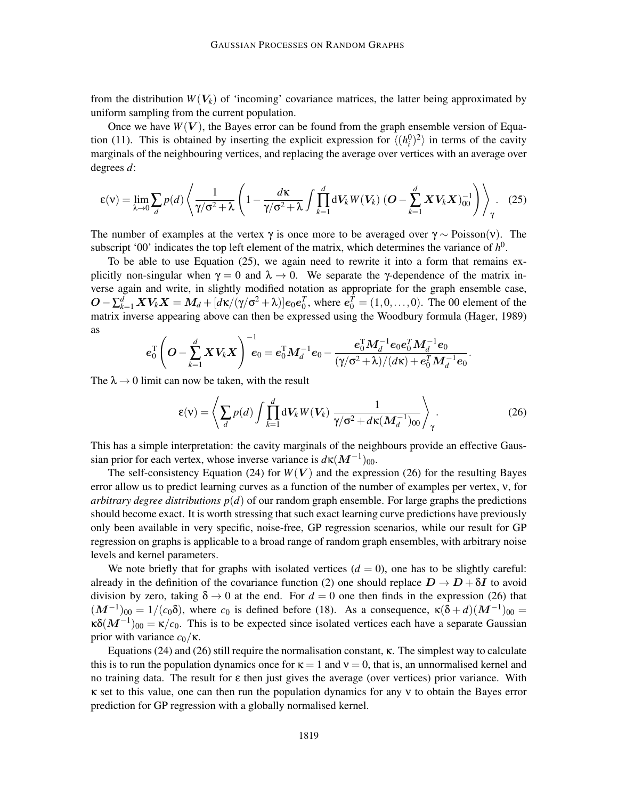from the distribution  $W(V_k)$  of 'incoming' covariance matrices, the latter being approximated by uniform sampling from the current population.

Once we have  $W(V)$ , the Bayes error can be found from the graph ensemble version of Equation (11). This is obtained by inserting the explicit expression for  $\langle (h_i^0)^2 \rangle$  in terms of the cavity marginals of the neighbouring vertices, and replacing the average over vertices with an average over degrees *d*:

$$
\epsilon(\mathbf{v}) = \lim_{\lambda \to 0} \sum_{d} p(d) \left\langle \frac{1}{\gamma/\sigma^2 + \lambda} \left( 1 - \frac{d\kappa}{\gamma/\sigma^2 + \lambda} \int \prod_{k=1}^{d} \mathrm{d}V_k W(V_k) \left( \mathbf{O} - \sum_{k=1}^{d} \mathbf{X} V_k \mathbf{X} \right)_{00}^{-1} \right) \right\rangle_{\gamma} . \tag{25}
$$

The number of examples at the vertex  $\gamma$  is once more to be averaged over  $\gamma \sim \text{Poisson}(v)$ . The subscript '00' indicates the top left element of the matrix, which determines the variance of  $h^0$ .

To be able to use Equation  $(25)$ , we again need to rewrite it into a form that remains explicitly non-singular when  $\gamma = 0$  and  $\lambda \to 0$ . We separate the γ-dependence of the matrix inverse again and write, in slightly modified notation as appropriate for the graph ensemble case,  $O − \sum_{k=1}^{d} XV_kX = M_d + [d\kappa/(\gamma/\sigma^2 + \lambda)]e_0e_0^T$ , where  $e_0^T = (1, 0, ..., 0)$ . The 00 element of the matrix inverse appearing above can then be expressed using the Woodbury formula (Hager, 1989) as

$$
\boldsymbol{e}_0^{\text{T}}\!\left(\boldsymbol{O}\!-\!\sum_{k=1}^{d}\boldsymbol{X} \boldsymbol{V_k} \boldsymbol{X}\right)^{-1}\!\!\!\boldsymbol{e}_0=\boldsymbol{e}_0^{\text{T}}\boldsymbol{M}_d^{-1}\boldsymbol{e}_0-\frac{\boldsymbol{e}_0^{\text{T}}\boldsymbol{M}_d^{-1}\boldsymbol{e}_0\boldsymbol{e}_0^T\boldsymbol{M}_d^{-1}\boldsymbol{e}_0}{(\gamma/\sigma^2+\lambda)/(d\kappa)+\boldsymbol{e}_0^T\boldsymbol{M}_d^{-1}\boldsymbol{e}_0}.
$$

The  $\lambda \rightarrow 0$  limit can now be taken, with the result

$$
\varepsilon(\mathbf{v}) = \left\langle \sum_{d} p(d) \int \prod_{k=1}^{d} \mathrm{d}V_k W(\mathbf{V}_k) \, \frac{1}{\gamma/\sigma^2 + d\kappa(M_d^{-1})_{00}} \right\rangle_{\gamma}.
$$

This has a simple interpretation: the cavity marginals of the neighbours provide an effective Gaussian prior for each vertex, whose inverse variance is  $d\kappa(M^{-1})_{00}$ .

The self-consistency Equation (24) for  $W(V)$  and the expression (26) for the resulting Bayes error allow us to predict learning curves as a function of the number of examples per vertex, ν, for *arbitrary degree distributions*  $p(d)$  *of our random graph ensemble. For large graphs the predictions* should become exact. It is worth stressing that such exact learning curve predictions have previously only been available in very specific, noise-free, GP regression scenarios, while our result for GP regression on graphs is applicable to a broad range of random graph ensembles, with arbitrary noise levels and kernel parameters.

We note briefly that for graphs with isolated vertices  $(d = 0)$ , one has to be slightly careful: already in the definition of the covariance function (2) one should replace  $D \to D + \delta I$  to avoid division by zero, taking  $\delta \to 0$  at the end. For  $d = 0$  one then finds in the expression (26) that  $(M^{-1})_{00} = 1/(c_0\delta)$ , where  $c_0$  is defined before (18). As a consequence,  $\kappa(\delta+d)(M^{-1})_{00} =$  $\kappa\delta(M^{-1})_{00} = \kappa/c_0$ . This is to be expected since isolated vertices each have a separate Gaussian prior with variance  $c_0/\kappa$ .

Equations (24) and (26) still require the normalisation constant, κ. The simplest way to calculate this is to run the population dynamics once for  $\kappa = 1$  and  $v = 0$ , that is, an unnormalised kernel and no training data. The result for ε then just gives the average (over vertices) prior variance. With κ set to this value, one can then run the population dynamics for any ν to obtain the Bayes error prediction for GP regression with a globally normalised kernel.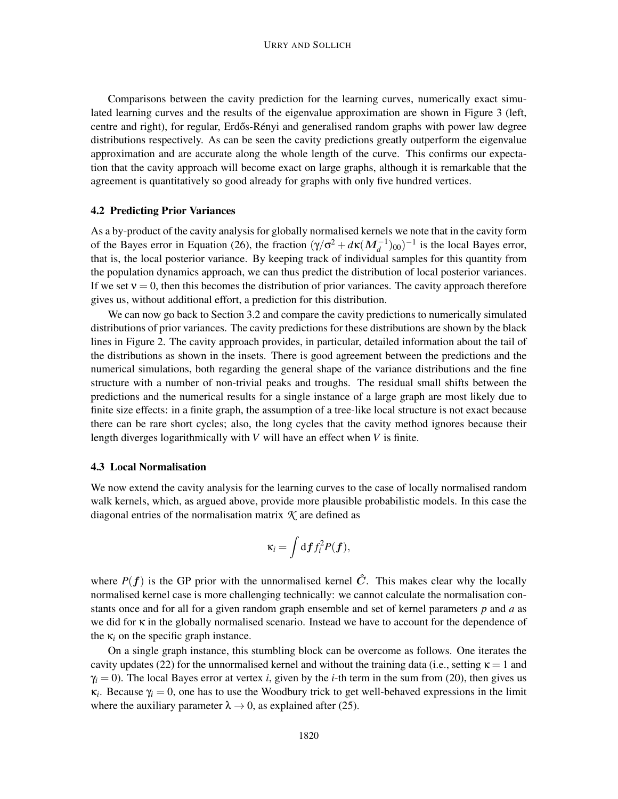Comparisons between the cavity prediction for the learning curves, numerically exact simulated learning curves and the results of the eigenvalue approximation are shown in Figure 3 (left, centre and right), for regular, Erdős-Rényi and generalised random graphs with power law degree distributions respectively. As can be seen the cavity predictions greatly outperform the eigenvalue approximation and are accurate along the whole length of the curve. This confirms our expectation that the cavity approach will become exact on large graphs, although it is remarkable that the agreement is quantitatively so good already for graphs with only five hundred vertices.

# 4.2 Predicting Prior Variances

As a by-product of the cavity analysis for globally normalised kernels we note that in the cavity form of the Bayes error in Equation (26), the fraction  $(\gamma/\sigma^2 + d\kappa(M_d^{-1})_{00})^{-1}$  is the local Bayes error, that is, the local posterior variance. By keeping track of individual samples for this quantity from the population dynamics approach, we can thus predict the distribution of local posterior variances. If we set  $v = 0$ , then this becomes the distribution of prior variances. The cavity approach therefore gives us, without additional effort, a prediction for this distribution.

We can now go back to Section 3.2 and compare the cavity predictions to numerically simulated distributions of prior variances. The cavity predictions for these distributions are shown by the black lines in Figure 2. The cavity approach provides, in particular, detailed information about the tail of the distributions as shown in the insets. There is good agreement between the predictions and the numerical simulations, both regarding the general shape of the variance distributions and the fine structure with a number of non-trivial peaks and troughs. The residual small shifts between the predictions and the numerical results for a single instance of a large graph are most likely due to finite size effects: in a finite graph, the assumption of a tree-like local structure is not exact because there can be rare short cycles; also, the long cycles that the cavity method ignores because their length diverges logarithmically with *V* will have an effect when *V* is finite.

### 4.3 Local Normalisation

We now extend the cavity analysis for the learning curves to the case of locally normalised random walk kernels, which, as argued above, provide more plausible probabilistic models. In this case the diagonal entries of the normalisation matrix *K* are defined as

$$
\kappa_i = \int df_i^2 P(\boldsymbol{f}),
$$

where  $P(f)$  is the GP prior with the unnormalised kernel  $\hat{C}$ . This makes clear why the locally normalised kernel case is more challenging technically: we cannot calculate the normalisation constants once and for all for a given random graph ensemble and set of kernel parameters *p* and *a* as we did for κ in the globally normalised scenario. Instead we have to account for the dependence of the  $\kappa_i$  on the specific graph instance.

On a single graph instance, this stumbling block can be overcome as follows. One iterates the cavity updates (22) for the unnormalised kernel and without the training data (i.e., setting  $\kappa = 1$  and  $\gamma_i = 0$ ). The local Bayes error at vertex *i*, given by the *i*-th term in the sum from (20), then gives us  $\kappa_i$ . Because  $\gamma_i = 0$ , one has to use the Woodbury trick to get well-behaved expressions in the limit where the auxiliary parameter  $\lambda \rightarrow 0$ , as explained after (25).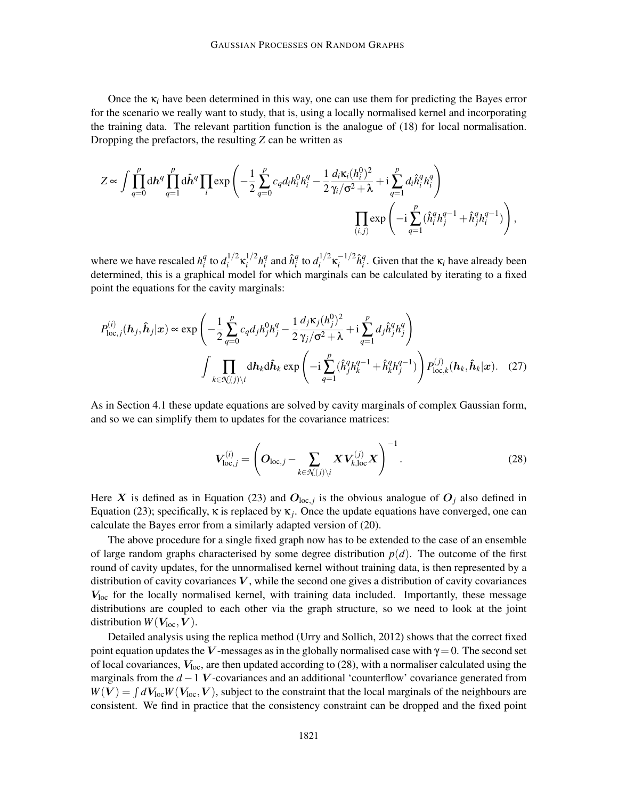Once the  $\kappa_i$  have been determined in this way, one can use them for predicting the Bayes error for the scenario we really want to study, that is, using a locally normalised kernel and incorporating the training data. The relevant partition function is the analogue of (18) for local normalisation. Dropping the prefactors, the resulting *Z* can be written as

$$
Z \propto \int \prod_{q=0}^p \mathrm{d} \boldsymbol{h}^q \prod_{q=1}^p \mathrm{d} \boldsymbol{\hat{h}}^q \prod_i \exp \left(-\frac{1}{2} \sum_{q=0}^p c_q d_i h_i^0 h_i^q - \frac{1}{2} \frac{d_i \kappa_i (h_i^0)^2}{\gamma_i / \sigma^2 + \lambda} + \mathrm{i} \sum_{q=1}^p d_i \hat{h}_i^q h_i^q\right) \prod_{(i,j)} \exp \left(-\mathrm{i} \sum_{q=1}^p (\hat{h}_i^q h_j^{q-1} + \hat{h}_j^q h_i^{q-1})\right),
$$

where we have rescaled  $h_i^q$  $\int_i^q$  to  $d_i^{1/2}$ <sup>1/2</sup>κ<sup>1/2</sup>  $h_i^{1/2}h_i^q$  $\hat{q}$ <sub>*i*</sub> and  $\hat{h}^q_i$  $\int_i^q$  to  $d_i^{1/2}$  $\kappa_i^{1/2} \kappa_i^{-1/2} \hat{h}_i^q$ <sup>*q*</sup>. Given that the  $\kappa$ <sub>*i*</sub> have already been determined, this is a graphical model for which marginals can be calculated by iterating to a fixed point the equations for the cavity marginals:

$$
P_{\text{loc},j}^{(i)}(\boldsymbol{h}_{j},\boldsymbol{\hat{h}}_{j}|\boldsymbol{x}) \propto \exp\left(-\frac{1}{2}\sum_{q=0}^{p}c_{q}d_{j}h_{j}^{0}h_{j}^{q} - \frac{1}{2}\frac{d_{j}\kappa_{j}(h_{j}^{0})^{2}}{\gamma_{j}/\sigma^{2}+\lambda} + i\sum_{q=1}^{p}d_{j}\hat{h}_{j}^{q}h_{j}^{q}\right)
$$

$$
\int \prod_{k \in \mathcal{K}(j)\backslash i} d\boldsymbol{h}_{k}d\boldsymbol{\hat{h}}_{k} \exp\left(-i\sum_{q=1}^{p}(\hat{h}_{j}^{q}h_{k}^{q-1} + \hat{h}_{k}^{q}h_{j}^{q-1})\right) P_{\text{loc},k}^{(j)}(\boldsymbol{h}_{k},\boldsymbol{\hat{h}}_{k}|\boldsymbol{x}). \quad (27)
$$

As in Section 4.1 these update equations are solved by cavity marginals of complex Gaussian form, and so we can simplify them to updates for the covariance matrices:

$$
\boldsymbol{V}_{\mathrm{loc},j}^{(i)} = \left( \boldsymbol{O}_{\mathrm{loc},j} - \sum_{k \in \mathcal{K}(j) \setminus i} \boldsymbol{X} \boldsymbol{V}_{k,\mathrm{loc}}^{(j)} \boldsymbol{X} \right)^{-1}.
$$
 (28)

Here X is defined as in Equation (23) and  $O_{\text{loc},j}$  is the obvious analogue of  $O_j$  also defined in Equation (23); specifically,  $\kappa$  is replaced by  $\kappa_j$ . Once the update equations have converged, one can calculate the Bayes error from a similarly adapted version of (20).

The above procedure for a single fixed graph now has to be extended to the case of an ensemble of large random graphs characterised by some degree distribution  $p(d)$ . The outcome of the first round of cavity updates, for the unnormalised kernel without training data, is then represented by a distribution of cavity covariances  $V$ , while the second one gives a distribution of cavity covariances  $V_{\text{loc}}$  for the locally normalised kernel, with training data included. Importantly, these message distributions are coupled to each other via the graph structure, so we need to look at the joint distribution  $W(V_{loc}, V)$ .

Detailed analysis using the replica method (Urry and Sollich, 2012) shows that the correct fixed point equation updates the V-messages as in the globally normalised case with  $\gamma = 0$ . The second set of local covariances,  $V_{loc}$ , are then updated according to (28), with a normaliser calculated using the marginals from the *d* −1 V -covariances and an additional 'counterflow' covariance generated from  $W(V) = \int dV_{loc} W(V_{loc}, V)$ , subject to the constraint that the local marginals of the neighbours are consistent. We find in practice that the consistency constraint can be dropped and the fixed point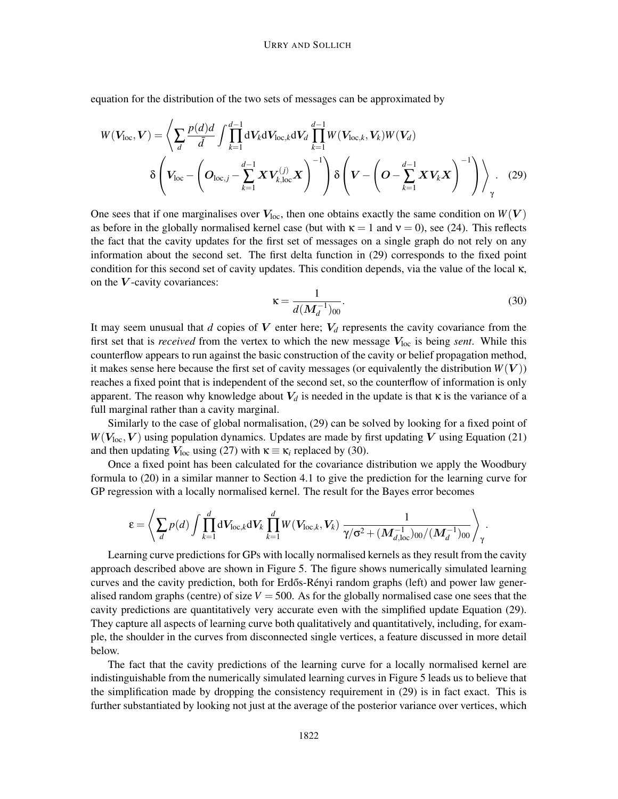equation for the distribution of the two sets of messages can be approximated by

$$
W(V_{\text{loc}}, V) = \left\langle \sum_{d} \frac{p(d)d}{\bar{d}} \int \prod_{k=1}^{d-1} dV_k dV_{\text{loc},k} dV_d \prod_{k=1}^{d-1} W(V_{\text{loc},k}, V_k) W(V_d) \right. \\ \left. \delta \left( V_{\text{loc}} - \left( O_{\text{loc},j} - \sum_{k=1}^{d-1} X V_{k,\text{loc}}^{(j)} X \right)^{-1} \right) \delta \left( V - \left( O - \sum_{k=1}^{d-1} X V_k X \right)^{-1} \right) \right\rangle_{\gamma} . \tag{29}
$$

One sees that if one marginalises over  $V_{\text{loc}}$ , then one obtains exactly the same condition on  $W(V)$ as before in the globally normalised kernel case (but with  $\kappa = 1$  and  $v = 0$ ), see (24). This reflects the fact that the cavity updates for the first set of messages on a single graph do not rely on any information about the second set. The first delta function in (29) corresponds to the fixed point condition for this second set of cavity updates. This condition depends, via the value of the local  $\kappa$ , on the  $V$ -cavity covariances:

$$
\kappa = \frac{1}{d(M_d^{-1})_{00}}.\tag{30}
$$

It may seem unusual that *d* copies of  $V$  enter here;  $V_d$  represents the cavity covariance from the first set that is *received* from the vertex to which the new message  $V_{\text{loc}}$  is being *sent*. While this counterflow appears to run against the basic construction of the cavity or belief propagation method, it makes sense here because the first set of cavity messages (or equivalently the distribution  $W(V)$ ) reaches a fixed point that is independent of the second set, so the counterflow of information is only apparent. The reason why knowledge about  $V_d$  is needed in the update is that  $\kappa$  is the variance of a full marginal rather than a cavity marginal.

Similarly to the case of global normalisation, (29) can be solved by looking for a fixed point of  $W(V_{loc}, V)$  using population dynamics. Updates are made by first updating V using Equation (21) and then updating  $V_{\text{loc}}$  using (27) with  $\kappa \equiv \kappa_i$  replaced by (30).

Once a fixed point has been calculated for the covariance distribution we apply the Woodbury formula to (20) in a similar manner to Section 4.1 to give the prediction for the learning curve for GP regression with a locally normalised kernel. The result for the Bayes error becomes

$$
\varepsilon = \left\langle \sum_d p(d) \int \prod_{k=1}^d \mathrm{d} V_{\mathrm{loc},k} \mathrm{d} V_k \prod_{k=1}^d W(V_{\mathrm{loc},k},V_k) \frac{1}{\gamma/\sigma^2 + (M_{d,\mathrm{loc}}^{-1})_{00}/(M_d^{-1})_{00}} \right\rangle_{\gamma}.
$$

Learning curve predictions for GPs with locally normalised kernels as they result from the cavity approach described above are shown in Figure 5. The figure shows numerically simulated learning curves and the cavity prediction, both for Erdős-Rényi random graphs (left) and power law generalised random graphs (centre) of size  $V = 500$ . As for the globally normalised case one sees that the cavity predictions are quantitatively very accurate even with the simplified update Equation (29). They capture all aspects of learning curve both qualitatively and quantitatively, including, for example, the shoulder in the curves from disconnected single vertices, a feature discussed in more detail below.

The fact that the cavity predictions of the learning curve for a locally normalised kernel are indistinguishable from the numerically simulated learning curves in Figure 5 leads us to believe that the simplification made by dropping the consistency requirement in (29) is in fact exact. This is further substantiated by looking not just at the average of the posterior variance over vertices, which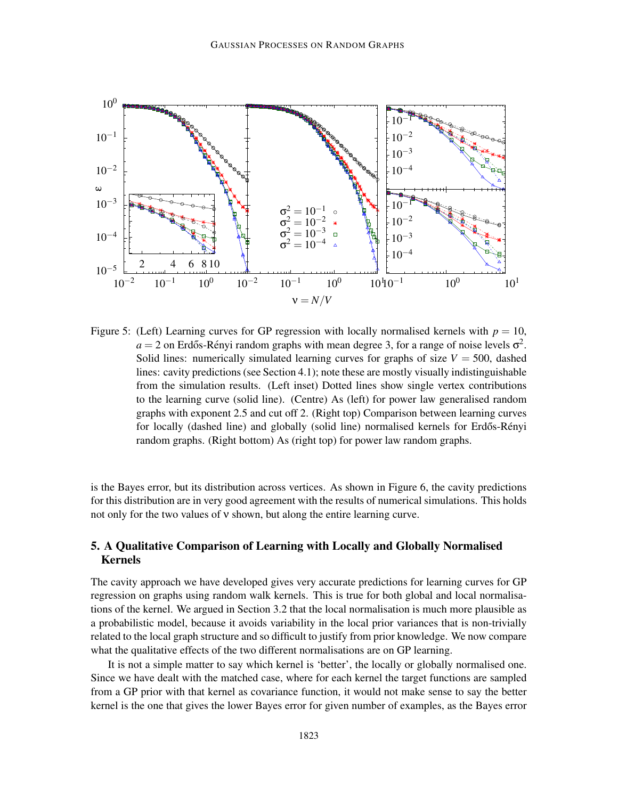

Figure 5: (Left) Learning curves for GP regression with locally normalised kernels with  $p = 10$ ,  $a = 2$  on Erdős-Rényi random graphs with mean degree 3, for a range of noise levels  $\sigma^2$ . Solid lines: numerically simulated learning curves for graphs of size  $V = 500$ , dashed lines: cavity predictions (see Section 4.1); note these are mostly visually indistinguishable from the simulation results. (Left inset) Dotted lines show single vertex contributions to the learning curve (solid line). (Centre) As (left) for power law generalised random graphs with exponent 2.5 and cut off 2. (Right top) Comparison between learning curves for locally (dashed line) and globally (solid line) normalised kernels for Erdős-Rényi random graphs. (Right bottom) As (right top) for power law random graphs.

is the Bayes error, but its distribution across vertices. As shown in Figure 6, the cavity predictions for this distribution are in very good agreement with the results of numerical simulations. This holds not only for the two values of ν shown, but along the entire learning curve.

# 5. A Qualitative Comparison of Learning with Locally and Globally Normalised Kernels

The cavity approach we have developed gives very accurate predictions for learning curves for GP regression on graphs using random walk kernels. This is true for both global and local normalisations of the kernel. We argued in Section 3.2 that the local normalisation is much more plausible as a probabilistic model, because it avoids variability in the local prior variances that is non-trivially related to the local graph structure and so difficult to justify from prior knowledge. We now compare what the qualitative effects of the two different normalisations are on GP learning.

It is not a simple matter to say which kernel is 'better', the locally or globally normalised one. Since we have dealt with the matched case, where for each kernel the target functions are sampled from a GP prior with that kernel as covariance function, it would not make sense to say the better kernel is the one that gives the lower Bayes error for given number of examples, as the Bayes error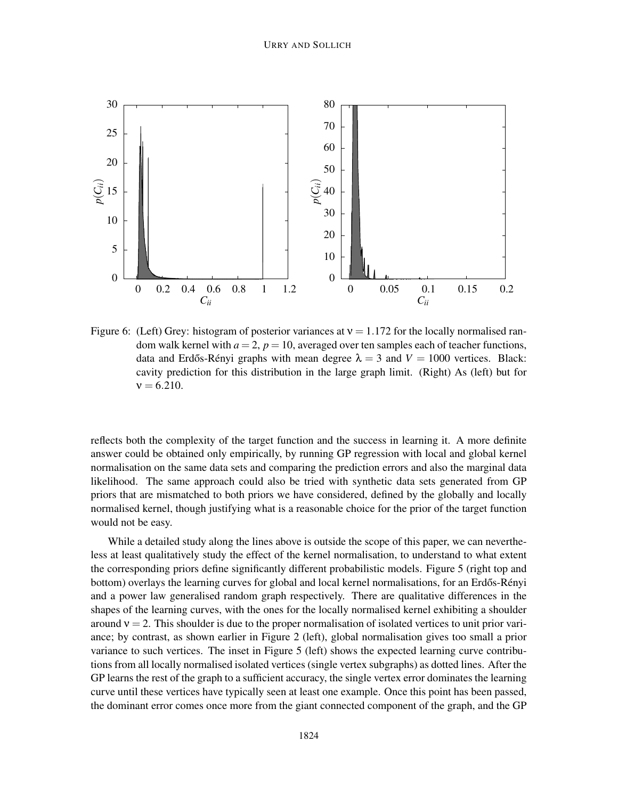

Figure 6: (Left) Grey: histogram of posterior variances at  $v = 1.172$  for the locally normalised random walk kernel with  $a = 2$ ,  $p = 10$ , averaged over ten samples each of teacher functions, data and Erdős-Rényi graphs with mean degree  $\lambda = 3$  and  $V = 1000$  vertices. Black: cavity prediction for this distribution in the large graph limit. (Right) As (left) but for  $v = 6.210$ .

reflects both the complexity of the target function and the success in learning it. A more definite answer could be obtained only empirically, by running GP regression with local and global kernel normalisation on the same data sets and comparing the prediction errors and also the marginal data likelihood. The same approach could also be tried with synthetic data sets generated from GP priors that are mismatched to both priors we have considered, defined by the globally and locally normalised kernel, though justifying what is a reasonable choice for the prior of the target function would not be easy.

While a detailed study along the lines above is outside the scope of this paper, we can nevertheless at least qualitatively study the effect of the kernel normalisation, to understand to what extent the corresponding priors define significantly different probabilistic models. Figure 5 (right top and bottom) overlays the learning curves for global and local kernel normalisations, for an Erdős-Rényi and a power law generalised random graph respectively. There are qualitative differences in the shapes of the learning curves, with the ones for the locally normalised kernel exhibiting a shoulder around  $v = 2$ . This shoulder is due to the proper normalisation of isolated vertices to unit prior variance; by contrast, as shown earlier in Figure 2 (left), global normalisation gives too small a prior variance to such vertices. The inset in Figure 5 (left) shows the expected learning curve contributions from all locally normalised isolated vertices (single vertex subgraphs) as dotted lines. After the GP learns the rest of the graph to a sufficient accuracy, the single vertex error dominates the learning curve until these vertices have typically seen at least one example. Once this point has been passed, the dominant error comes once more from the giant connected component of the graph, and the GP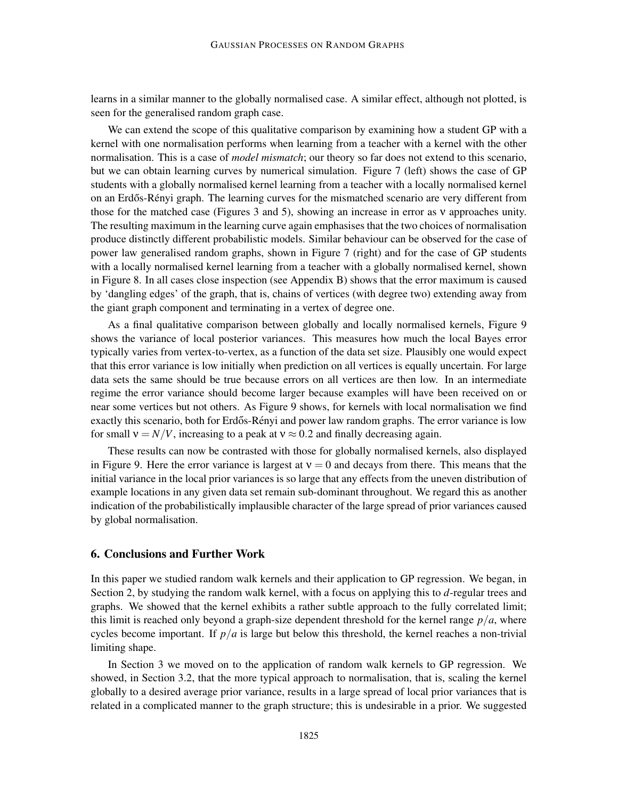learns in a similar manner to the globally normalised case. A similar effect, although not plotted, is seen for the generalised random graph case.

We can extend the scope of this qualitative comparison by examining how a student GP with a kernel with one normalisation performs when learning from a teacher with a kernel with the other normalisation. This is a case of *model mismatch*; our theory so far does not extend to this scenario, but we can obtain learning curves by numerical simulation. Figure 7 (left) shows the case of GP students with a globally normalised kernel learning from a teacher with a locally normalised kernel on an Erdős-Rényi graph. The learning curves for the mismatched scenario are very different from those for the matched case (Figures 3 and 5), showing an increase in error as ν approaches unity. The resulting maximum in the learning curve again emphasises that the two choices of normalisation produce distinctly different probabilistic models. Similar behaviour can be observed for the case of power law generalised random graphs, shown in Figure 7 (right) and for the case of GP students with a locally normalised kernel learning from a teacher with a globally normalised kernel, shown in Figure 8. In all cases close inspection (see Appendix B) shows that the error maximum is caused by 'dangling edges' of the graph, that is, chains of vertices (with degree two) extending away from the giant graph component and terminating in a vertex of degree one.

As a final qualitative comparison between globally and locally normalised kernels, Figure 9 shows the variance of local posterior variances. This measures how much the local Bayes error typically varies from vertex-to-vertex, as a function of the data set size. Plausibly one would expect that this error variance is low initially when prediction on all vertices is equally uncertain. For large data sets the same should be true because errors on all vertices are then low. In an intermediate regime the error variance should become larger because examples will have been received on or near some vertices but not others. As Figure 9 shows, for kernels with local normalisation we find exactly this scenario, both for Erdős-Rényi and power law random graphs. The error variance is low for small  $v = N/V$ , increasing to a peak at  $v \approx 0.2$  and finally decreasing again.

These results can now be contrasted with those for globally normalised kernels, also displayed in Figure 9. Here the error variance is largest at  $v = 0$  and decays from there. This means that the initial variance in the local prior variances is so large that any effects from the uneven distribution of example locations in any given data set remain sub-dominant throughout. We regard this as another indication of the probabilistically implausible character of the large spread of prior variances caused by global normalisation.

# 6. Conclusions and Further Work

In this paper we studied random walk kernels and their application to GP regression. We began, in Section 2, by studying the random walk kernel, with a focus on applying this to *d*-regular trees and graphs. We showed that the kernel exhibits a rather subtle approach to the fully correlated limit; this limit is reached only beyond a graph-size dependent threshold for the kernel range  $p/a$ , where cycles become important. If  $p/a$  is large but below this threshold, the kernel reaches a non-trivial limiting shape.

In Section 3 we moved on to the application of random walk kernels to GP regression. We showed, in Section 3.2, that the more typical approach to normalisation, that is, scaling the kernel globally to a desired average prior variance, results in a large spread of local prior variances that is related in a complicated manner to the graph structure; this is undesirable in a prior. We suggested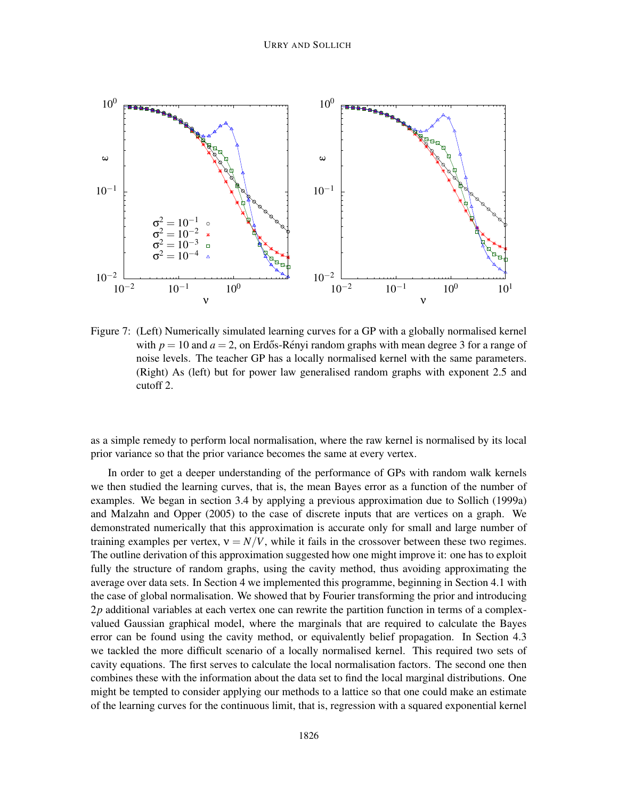

Figure 7: (Left) Numerically simulated learning curves for a GP with a globally normalised kernel with  $p = 10$  and  $a = 2$ , on Erdős-Rényi random graphs with mean degree 3 for a range of noise levels. The teacher GP has a locally normalised kernel with the same parameters. (Right) As (left) but for power law generalised random graphs with exponent 2.5 and cutoff 2.

as a simple remedy to perform local normalisation, where the raw kernel is normalised by its local prior variance so that the prior variance becomes the same at every vertex.

In order to get a deeper understanding of the performance of GPs with random walk kernels we then studied the learning curves, that is, the mean Bayes error as a function of the number of examples. We began in section 3.4 by applying a previous approximation due to Sollich (1999a) and Malzahn and Opper (2005) to the case of discrete inputs that are vertices on a graph. We demonstrated numerically that this approximation is accurate only for small and large number of training examples per vertex,  $v = N/V$ , while it fails in the crossover between these two regimes. The outline derivation of this approximation suggested how one might improve it: one has to exploit fully the structure of random graphs, using the cavity method, thus avoiding approximating the average over data sets. In Section 4 we implemented this programme, beginning in Section 4.1 with the case of global normalisation. We showed that by Fourier transforming the prior and introducing 2*p* additional variables at each vertex one can rewrite the partition function in terms of a complexvalued Gaussian graphical model, where the marginals that are required to calculate the Bayes error can be found using the cavity method, or equivalently belief propagation. In Section 4.3 we tackled the more difficult scenario of a locally normalised kernel. This required two sets of cavity equations. The first serves to calculate the local normalisation factors. The second one then combines these with the information about the data set to find the local marginal distributions. One might be tempted to consider applying our methods to a lattice so that one could make an estimate of the learning curves for the continuous limit, that is, regression with a squared exponential kernel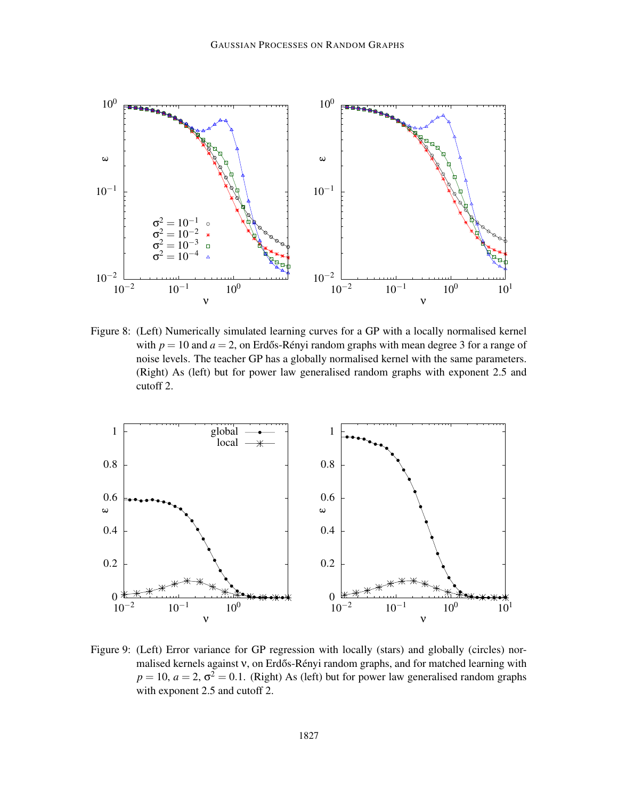

Figure 8: (Left) Numerically simulated learning curves for a GP with a locally normalised kernel with  $p = 10$  and  $a = 2$ , on Erdős-Rényi random graphs with mean degree 3 for a range of noise levels. The teacher GP has a globally normalised kernel with the same parameters. (Right) As (left) but for power law generalised random graphs with exponent 2.5 and cutoff 2.



Figure 9: (Left) Error variance for GP regression with locally (stars) and globally (circles) normalised kernels against v, on Erdős-Rényi random graphs, and for matched learning with  $p = 10$ ,  $a = 2$ ,  $\sigma^2 = 0.1$ . (Right) As (left) but for power law generalised random graphs with exponent 2.5 and cutoff 2.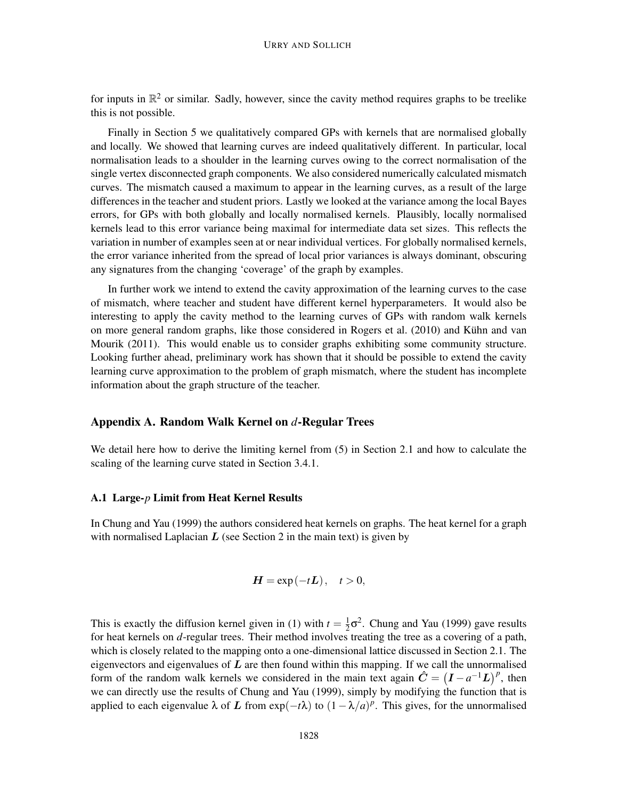for inputs in  $\mathbb{R}^2$  or similar. Sadly, however, since the cavity method requires graphs to be treelike this is not possible.

Finally in Section 5 we qualitatively compared GPs with kernels that are normalised globally and locally. We showed that learning curves are indeed qualitatively different. In particular, local normalisation leads to a shoulder in the learning curves owing to the correct normalisation of the single vertex disconnected graph components. We also considered numerically calculated mismatch curves. The mismatch caused a maximum to appear in the learning curves, as a result of the large differences in the teacher and student priors. Lastly we looked at the variance among the local Bayes errors, for GPs with both globally and locally normalised kernels. Plausibly, locally normalised kernels lead to this error variance being maximal for intermediate data set sizes. This reflects the variation in number of examples seen at or near individual vertices. For globally normalised kernels, the error variance inherited from the spread of local prior variances is always dominant, obscuring any signatures from the changing 'coverage' of the graph by examples.

In further work we intend to extend the cavity approximation of the learning curves to the case of mismatch, where teacher and student have different kernel hyperparameters. It would also be interesting to apply the cavity method to the learning curves of GPs with random walk kernels on more general random graphs, like those considered in Rogers et al. (2010) and Kühn and van Mourik (2011). This would enable us to consider graphs exhibiting some community structure. Looking further ahead, preliminary work has shown that it should be possible to extend the cavity learning curve approximation to the problem of graph mismatch, where the student has incomplete information about the graph structure of the teacher.

# Appendix A. Random Walk Kernel on *d*-Regular Trees

We detail here how to derive the limiting kernel from (5) in Section 2.1 and how to calculate the scaling of the learning curve stated in Section 3.4.1.

### A.1 Large-*p* Limit from Heat Kernel Results

In Chung and Yau (1999) the authors considered heat kernels on graphs. The heat kernel for a graph with normalised Laplacian  $L$  (see Section 2 in the main text) is given by

$$
H = \exp(-tL), \quad t > 0,
$$

This is exactly the diffusion kernel given in (1) with  $t = \frac{1}{2}$  $\frac{1}{2}$  $\sigma^2$ . Chung and Yau (1999) gave results for heat kernels on *d*-regular trees. Their method involves treating the tree as a covering of a path, which is closely related to the mapping onto a one-dimensional lattice discussed in Section 2.1. The eigenvectors and eigenvalues of  $L$  are then found within this mapping. If we call the unnormalised form of the random walk kernels we considered in the main text again  $\hat{C} = (\mathbf{I} - a^{-1}\mathbf{L})^p$ , then we can directly use the results of Chung and Yau (1999), simply by modifying the function that is applied to each eigenvalue  $\lambda$  of L from exp( $-t\lambda$ ) to  $(1 - \lambda/a)^p$ . This gives, for the unnormalised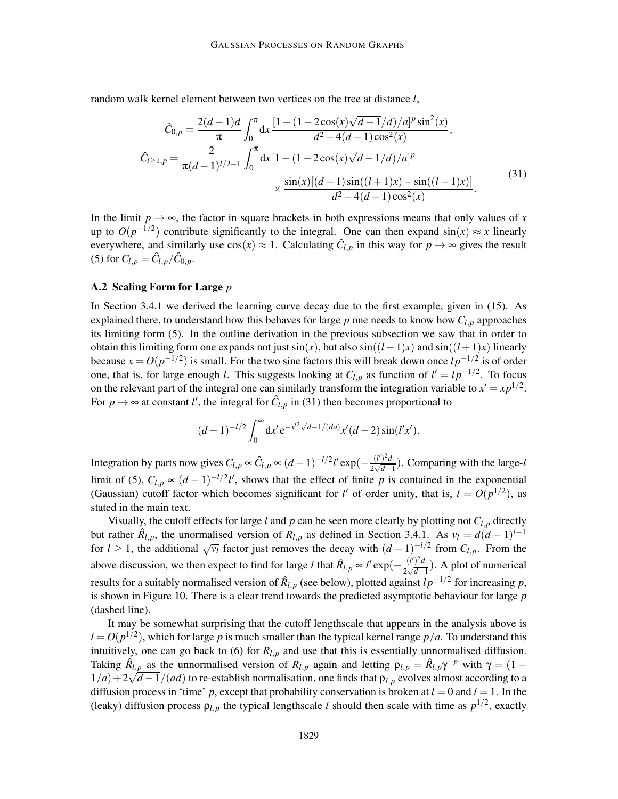random walk kernel element between two vertices on the tree at distance *l*,

$$
\hat{C}_{0,p} = \frac{2(d-1)d}{\pi} \int_0^{\pi} dx \frac{\left[1 - \left(1 - 2\cos(x)\sqrt{d-1}/d\right)/a\right]^{p} \sin^{2}(x)}{d^{2} - 4(d-1)\cos^{2}(x)},
$$
\n
$$
\hat{C}_{l \ge 1,p} = \frac{2}{\pi(d-1)^{l/2-1}} \int_0^{\pi} dx \left[1 - \left(1 - 2\cos(x)\sqrt{d-1}/d\right)/a\right]^{p} \times \frac{\sin(x)\left[(d-1)\sin((l+1)x) - \sin((l-1)x)\right]}{d^{2} - 4(d-1)\cos^{2}(x)}.
$$
\n(31)

In the limit  $p \rightarrow \infty$ , the factor in square brackets in both expressions means that only values of *x* up to  $O(p^{-1/2})$  contribute significantly to the integral. One can then expand  $sin(x) \approx x$  linearly everywhere, and similarly use  $cos(x) \approx 1$ . Calculating  $\hat{C}_{l,p}$  in this way for  $p \to \infty$  gives the result (5) for  $C_{l,p} = \hat{C}_{l,p}/\hat{C}_{0,p}$ .

#### A.2 Scaling Form for Large *p*

In Section 3.4.1 we derived the learning curve decay due to the first example, given in (15). As explained there, to understand how this behaves for large  $p$  one needs to know how  $C_{l,p}$  approaches its limiting form (5). In the outline derivation in the previous subsection we saw that in order to obtain this limiting form one expands not just  $sin(x)$ , but also  $sin((l-1)x)$  and  $sin((l+1)x)$  linearly because  $x = O(p^{-1/2})$  is small. For the two sine factors this will break down once  $lp^{-1/2}$  is of order one, that is, for large enough *l*. This suggests looking at  $C_{l,p}$  as function of  $l' = lp^{-1/2}$ . To focus on the relevant part of the integral one can similarly transform the integration variable to  $x' = xp^{1/2}$ . For  $p \to \infty$  at constant *l'*, the integral for  $\hat{C}_{l,p}$  in (31) then becomes proportional to

$$
(d-1)^{-l/2} \int_0^\infty dx' e^{-x'^2 \sqrt{d-1}/(da)} x'(d-2) \sin(l'x').
$$

Integration by parts now gives  $C_{l,p} \propto \hat{C}_{l,p} \propto (d-1)^{-l/2} l' \exp(-\frac{(l')^2 d}{2\sqrt{d-1}})$  $\frac{u^{(t)}-u}{2\sqrt{d-1}}$ ). Comparing with the large-*l* limit of (5),  $C_{l,p} \propto (d-1)^{-l/2} l'$ , shows that the effect of finite *p* is contained in the exponential (Gaussian) cutoff factor which becomes significant for *l'* of order unity, that is,  $l = O(p^{1/2})$ , as stated in the main text.

Visually, the cutoff effects for large *l* and *p* can be seen more clearly by plotting not *Cl*,*<sup>p</sup>* directly but rather  $\hat{R}_{l,p}$ , the unormalised version of  $R_{l,p}$  as defined in Section 3.4.1. As  $v_l = d(d-1)^{l-1}$ for *l* ≥ 1, the additional  $\sqrt{v_l}$  factor just removes the decay with  $(d-1)^{-l/2}$  from  $C_{l,p}$ . From the above discussion, we then expect to find for large *l* that  $\hat{R}_{l,p} \propto l' \exp(-\frac{(l')^2 d}{2\sqrt{d-1}})$  $\frac{u}{2\sqrt{d-1}}$ ). A plot of numerical results for a suitably normalised version of  $\hat{R}_{l,p}$  (see below), plotted against  $lp^{-1/2}$  for increasing p, is shown in Figure 10. There is a clear trend towards the predicted asymptotic behaviour for large *p* (dashed line).

It may be somewhat surprising that the cutoff lengthscale that appears in the analysis above is  $l = O(p^{1/2})$ , which for large *p* is much smaller than the typical kernel range  $p/a$ . To understand this intuitively, one can go back to (6) for  $R_{l,p}$  and use that this is essentially unnormalised diffusion. Taking  $\hat{R}_{l,p}$  as the unnormalised version of  $R_{l,p}$  again and letting  $\rho_{l,p} = \hat{R}_{l,p} \gamma^{-p}$  with  $\gamma = (1 - \gamma)$  $1/a$ ) +  $2\sqrt{d-1}/(ad)$  to re-establish normalisation, one finds that  $\rho_{l,p}$  evolves almost according to a diffusion process in 'time'  $p$ , except that probability conservation is broken at  $l = 0$  and  $l = 1$ . In the (leaky) diffusion process  $\rho_{l,p}$  the typical lengthscale *l* should then scale with time as  $p^{1/2}$ , exactly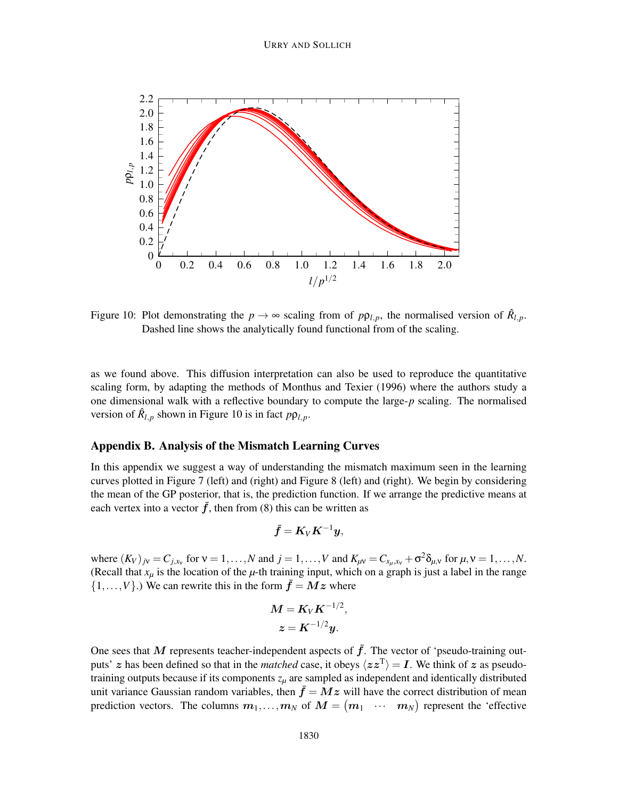

Figure 10: Plot demonstrating the  $p \to \infty$  scaling from of  $p\rho_{l,p}$ , the normalised version of  $\hat{R}_{l,p}$ . Dashed line shows the analytically found functional from of the scaling.

as we found above. This diffusion interpretation can also be used to reproduce the quantitative scaling form, by adapting the methods of Monthus and Texier (1996) where the authors study a one dimensional walk with a reflective boundary to compute the large-*p* scaling. The normalised version of  $\hat{R}_{l,p}$  shown in Figure 10 is in fact  $p\rho_{l,p}$ .

# Appendix B. Analysis of the Mismatch Learning Curves

In this appendix we suggest a way of understanding the mismatch maximum seen in the learning curves plotted in Figure 7 (left) and (right) and Figure 8 (left) and (right). We begin by considering the mean of the GP posterior, that is, the prediction function. If we arrange the predictive means at each vertex into a vector  $\bar{f}$ , then from (8) this can be written as

$$
\bar{\bm{f}} = \bm{K}_V \bm{K}^{-1} \bm{y},
$$

where  $(K_V)_{jV} = C_{j,x_V}$  for  $V = 1, ..., N$  and  $j = 1, ..., V$  and  $K_{\mu V} = C_{x_\mu, x_V} + \sigma^2 \delta_{\mu, V}$  for  $\mu, V = 1, ..., N$ . (Recall that  $x<sub>u</sub>$  is the location of the  $\mu$ -th training input, which on a graph is just a label in the range  $\{1,\ldots,V\}$ .) We can rewrite this in the form  $\bar{f} = Mz$  where

$$
M = K_V K^{-1/2},
$$
  

$$
z = K^{-1/2} y.
$$

One sees that M represents teacher-independent aspects of  $\bar{f}$ . The vector of 'pseudo-training outputs' z has been defined so that in the *matched* case, it obeys  $\langle zz^T \rangle = I$ . We think of z as pseudotraining outputs because if its components *z<sup>µ</sup>* are sampled as independent and identically distributed unit variance Gaussian random variables, then  $\bar{f} = Mz$  will have the correct distribution of mean prediction vectors. The columns  $m_1, \ldots, m_N$  of  $M = \begin{pmatrix} m_1 & \cdots & m_N \end{pmatrix}$  represent the 'effective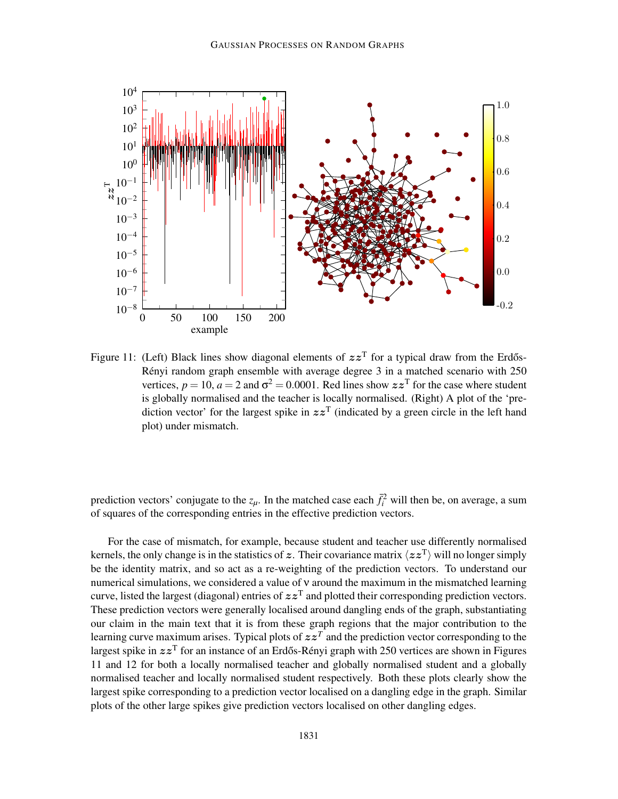

Figure 11: (Left) Black lines show diagonal elements of  $zz<sup>T</sup>$  for a typical draw from the Erdős-Rényi random graph ensemble with average degree  $3$  in a matched scenario with  $250$ vertices,  $p = 10$ ,  $a = 2$  and  $\sigma^2 = 0.0001$ . Red lines show  $zz^T$  for the case where student is globally normalised and the teacher is locally normalised. (Right) A plot of the 'prediction vector' for the largest spike in  $zz<sup>T</sup>$  (indicated by a green circle in the left hand plot) under mismatch.

prediction vectors' conjugate to the  $z_{\mu}$ . In the matched case each  $\bar{f}_i^2$  will then be, on average, a sum of squares of the corresponding entries in the effective prediction vectors.

For the case of mismatch, for example, because student and teacher use differently normalised kernels, the only change is in the statistics of z. Their covariance matrix  $\langle zz^T \rangle$  will no longer simply be the identity matrix, and so act as a re-weighting of the prediction vectors. To understand our numerical simulations, we considered a value of ν around the maximum in the mismatched learning curve, listed the largest (diagonal) entries of  $zz<sup>T</sup>$  and plotted their corresponding prediction vectors. These prediction vectors were generally localised around dangling ends of the graph, substantiating our claim in the main text that it is from these graph regions that the major contribution to the learning curve maximum arises. Typical plots of  $zz<sup>T</sup>$  and the prediction vector corresponding to the largest spike in  $zz^T$  for an instance of an Erdős-Rényi graph with 250 vertices are shown in Figures 11 and 12 for both a locally normalised teacher and globally normalised student and a globally normalised teacher and locally normalised student respectively. Both these plots clearly show the largest spike corresponding to a prediction vector localised on a dangling edge in the graph. Similar plots of the other large spikes give prediction vectors localised on other dangling edges.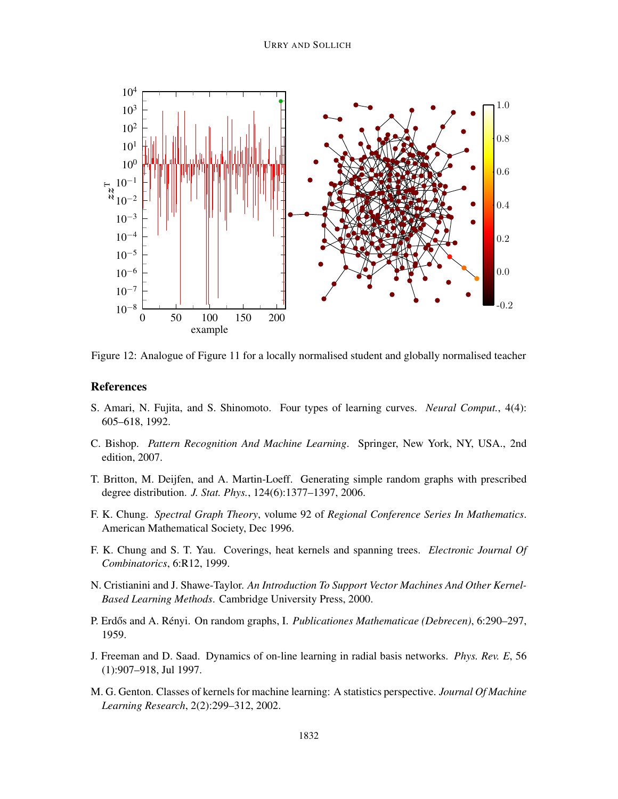

Figure 12: Analogue of Figure 11 for a locally normalised student and globally normalised teacher

### References

- S. Amari, N. Fujita, and S. Shinomoto. Four types of learning curves. *Neural Comput.*, 4(4): 605–618, 1992.
- C. Bishop. *Pattern Recognition And Machine Learning*. Springer, New York, NY, USA., 2nd edition, 2007.
- T. Britton, M. Deijfen, and A. Martin-Loeff. Generating simple random graphs with prescribed degree distribution. *J. Stat. Phys.*, 124(6):1377–1397, 2006.
- F. K. Chung. *Spectral Graph Theory*, volume 92 of *Regional Conference Series In Mathematics*. American Mathematical Society, Dec 1996.
- F. K. Chung and S. T. Yau. Coverings, heat kernels and spanning trees. *Electronic Journal Of Combinatorics*, 6:R12, 1999.
- N. Cristianini and J. Shawe-Taylor. *An Introduction To Support Vector Machines And Other Kernel-Based Learning Methods*. Cambridge University Press, 2000.
- P. Erdős and A. Rényi. On random graphs, I. *Publicationes Mathematicae (Debrecen)*, 6:290–297, 1959.
- J. Freeman and D. Saad. Dynamics of on-line learning in radial basis networks. *Phys. Rev. E*, 56 (1):907–918, Jul 1997.
- M. G. Genton. Classes of kernels for machine learning: A statistics perspective. *Journal Of Machine Learning Research*, 2(2):299–312, 2002.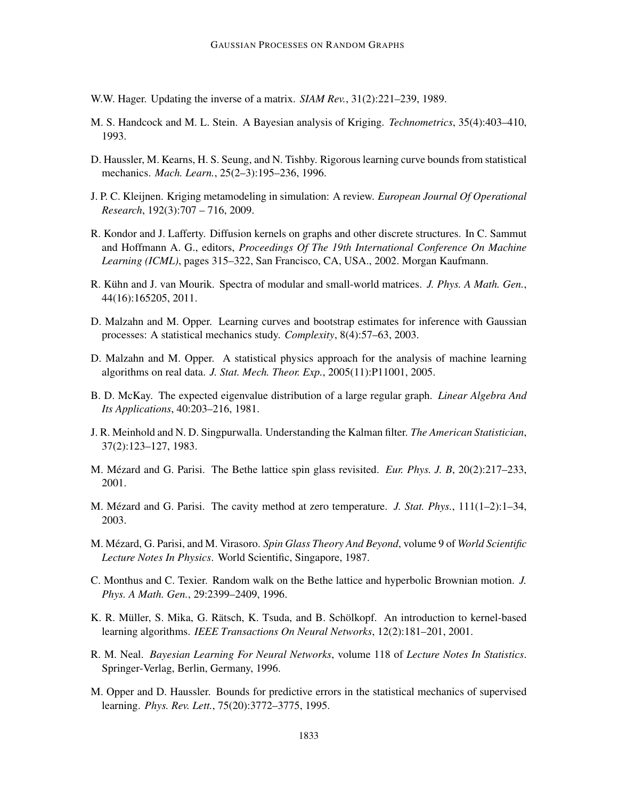- W.W. Hager. Updating the inverse of a matrix. *SIAM Rev.*, 31(2):221–239, 1989.
- M. S. Handcock and M. L. Stein. A Bayesian analysis of Kriging. *Technometrics*, 35(4):403–410, 1993.
- D. Haussler, M. Kearns, H. S. Seung, and N. Tishby. Rigorous learning curve bounds from statistical mechanics. *Mach. Learn.*, 25(2–3):195–236, 1996.
- J. P. C. Kleijnen. Kriging metamodeling in simulation: A review. *European Journal Of Operational Research*, 192(3):707 – 716, 2009.
- R. Kondor and J. Lafferty. Diffusion kernels on graphs and other discrete structures. In C. Sammut and Hoffmann A. G., editors, *Proceedings Of The 19th International Conference On Machine Learning (ICML)*, pages 315–322, San Francisco, CA, USA., 2002. Morgan Kaufmann.
- R. Kühn and J. van Mourik. Spectra of modular and small-world matrices. *J. Phys. A Math. Gen.*, 44(16):165205, 2011.
- D. Malzahn and M. Opper. Learning curves and bootstrap estimates for inference with Gaussian processes: A statistical mechanics study. *Complexity*, 8(4):57–63, 2003.
- D. Malzahn and M. Opper. A statistical physics approach for the analysis of machine learning algorithms on real data. *J. Stat. Mech. Theor. Exp.*, 2005(11):P11001, 2005.
- B. D. McKay. The expected eigenvalue distribution of a large regular graph. *Linear Algebra And Its Applications*, 40:203–216, 1981.
- J. R. Meinhold and N. D. Singpurwalla. Understanding the Kalman filter. *The American Statistician*, 37(2):123–127, 1983.
- M. Mézard and G. Parisi. The Bethe lattice spin glass revisited. *Eur. Phys. J. B*, 20(2):217–233, 2001.
- M. Mézard and G. Parisi. The cavity method at zero temperature. *J. Stat. Phys.*, 111(1–2):1–34, 2003.
- M. Mézard, G. Parisi, and M. Virasoro. Spin Glass Theory And Beyond, volume 9 of *World Scientific Lecture Notes In Physics*. World Scientific, Singapore, 1987.
- C. Monthus and C. Texier. Random walk on the Bethe lattice and hyperbolic Brownian motion. *J. Phys. A Math. Gen.*, 29:2399–2409, 1996.
- K. R. Müller, S. Mika, G. Rätsch, K. Tsuda, and B. Schölkopf. An introduction to kernel-based learning algorithms. *IEEE Transactions On Neural Networks*, 12(2):181–201, 2001.
- R. M. Neal. *Bayesian Learning For Neural Networks*, volume 118 of *Lecture Notes In Statistics*. Springer-Verlag, Berlin, Germany, 1996.
- M. Opper and D. Haussler. Bounds for predictive errors in the statistical mechanics of supervised learning. *Phys. Rev. Lett.*, 75(20):3772–3775, 1995.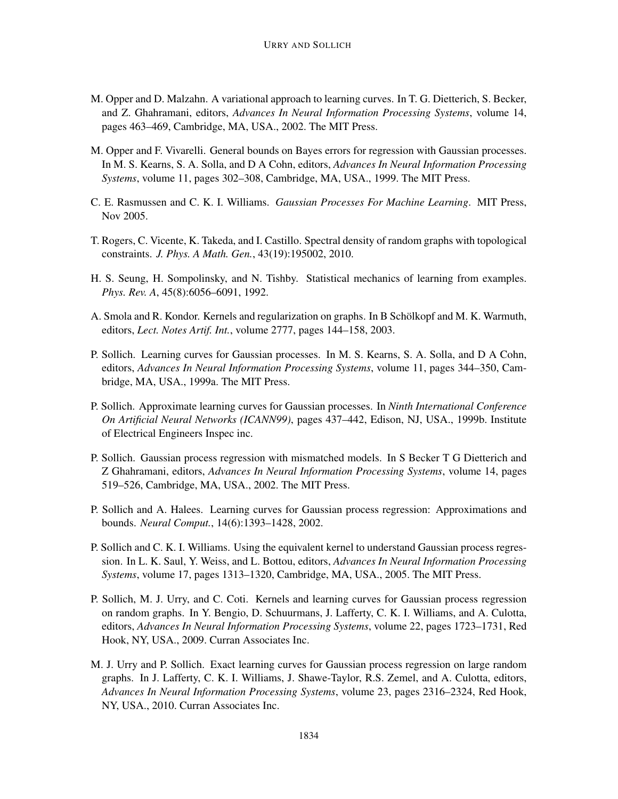- M. Opper and D. Malzahn. A variational approach to learning curves. In T. G. Dietterich, S. Becker, and Z. Ghahramani, editors, *Advances In Neural Information Processing Systems*, volume 14, pages 463–469, Cambridge, MA, USA., 2002. The MIT Press.
- M. Opper and F. Vivarelli. General bounds on Bayes errors for regression with Gaussian processes. In M. S. Kearns, S. A. Solla, and D A Cohn, editors, *Advances In Neural Information Processing Systems*, volume 11, pages 302–308, Cambridge, MA, USA., 1999. The MIT Press.
- C. E. Rasmussen and C. K. I. Williams. *Gaussian Processes For Machine Learning*. MIT Press, Nov 2005.
- T. Rogers, C. Vicente, K. Takeda, and I. Castillo. Spectral density of random graphs with topological constraints. *J. Phys. A Math. Gen.*, 43(19):195002, 2010.
- H. S. Seung, H. Sompolinsky, and N. Tishby. Statistical mechanics of learning from examples. *Phys. Rev. A*, 45(8):6056–6091, 1992.
- A. Smola and R. Kondor. Kernels and regularization on graphs. In B Schölkopf and M. K. Warmuth, editors, *Lect. Notes Artif. Int.*, volume 2777, pages 144–158, 2003.
- P. Sollich. Learning curves for Gaussian processes. In M. S. Kearns, S. A. Solla, and D A Cohn, editors, *Advances In Neural Information Processing Systems*, volume 11, pages 344–350, Cambridge, MA, USA., 1999a. The MIT Press.
- P. Sollich. Approximate learning curves for Gaussian processes. In *Ninth International Conference On Artificial Neural Networks (ICANN99)*, pages 437–442, Edison, NJ, USA., 1999b. Institute of Electrical Engineers Inspec inc.
- P. Sollich. Gaussian process regression with mismatched models. In S Becker T G Dietterich and Z Ghahramani, editors, *Advances In Neural Information Processing Systems*, volume 14, pages 519–526, Cambridge, MA, USA., 2002. The MIT Press.
- P. Sollich and A. Halees. Learning curves for Gaussian process regression: Approximations and bounds. *Neural Comput.*, 14(6):1393–1428, 2002.
- P. Sollich and C. K. I. Williams. Using the equivalent kernel to understand Gaussian process regression. In L. K. Saul, Y. Weiss, and L. Bottou, editors, *Advances In Neural Information Processing Systems*, volume 17, pages 1313–1320, Cambridge, MA, USA., 2005. The MIT Press.
- P. Sollich, M. J. Urry, and C. Coti. Kernels and learning curves for Gaussian process regression on random graphs. In Y. Bengio, D. Schuurmans, J. Lafferty, C. K. I. Williams, and A. Culotta, editors, *Advances In Neural Information Processing Systems*, volume 22, pages 1723–1731, Red Hook, NY, USA., 2009. Curran Associates Inc.
- M. J. Urry and P. Sollich. Exact learning curves for Gaussian process regression on large random graphs. In J. Lafferty, C. K. I. Williams, J. Shawe-Taylor, R.S. Zemel, and A. Culotta, editors, *Advances In Neural Information Processing Systems*, volume 23, pages 2316–2324, Red Hook, NY, USA., 2010. Curran Associates Inc.